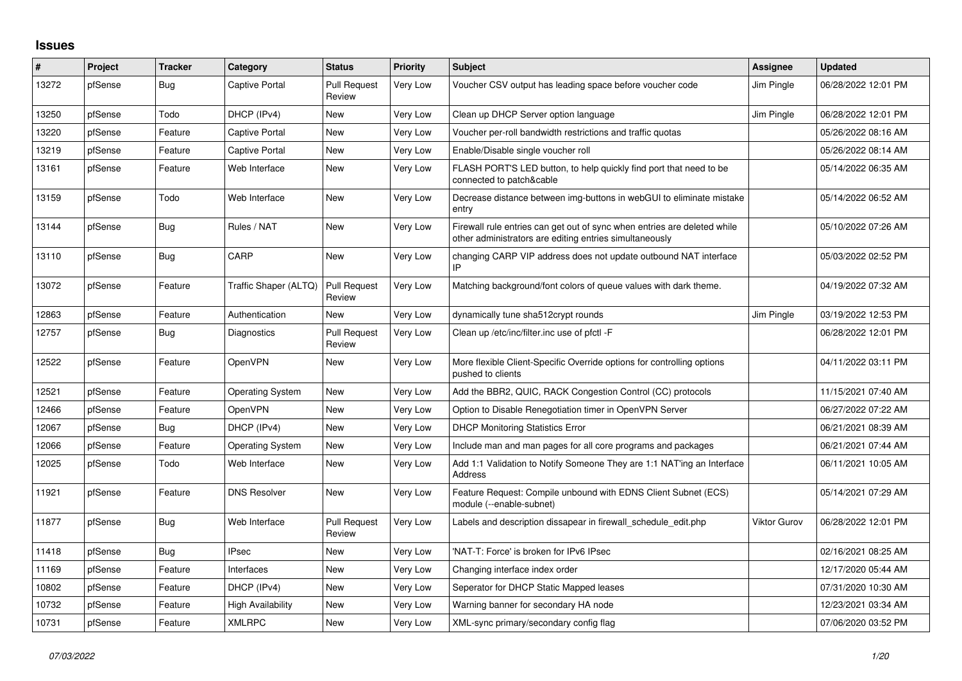## **Issues**

| #     | Project | <b>Tracker</b> | Category                | <b>Status</b>                 | <b>Priority</b> | <b>Subject</b>                                                                                                                      | Assignee            | <b>Updated</b>      |
|-------|---------|----------------|-------------------------|-------------------------------|-----------------|-------------------------------------------------------------------------------------------------------------------------------------|---------------------|---------------------|
| 13272 | pfSense | Bug            | Captive Portal          | <b>Pull Request</b><br>Review | Very Low        | Voucher CSV output has leading space before voucher code                                                                            | Jim Pingle          | 06/28/2022 12:01 PM |
| 13250 | pfSense | Todo           | DHCP (IPv4)             | <b>New</b>                    | Very Low        | Clean up DHCP Server option language                                                                                                | Jim Pingle          | 06/28/2022 12:01 PM |
| 13220 | pfSense | Feature        | Captive Portal          | <b>New</b>                    | Very Low        | Voucher per-roll bandwidth restrictions and traffic quotas                                                                          |                     | 05/26/2022 08:16 AM |
| 13219 | pfSense | Feature        | Captive Portal          | New                           | Very Low        | Enable/Disable single voucher roll                                                                                                  |                     | 05/26/2022 08:14 AM |
| 13161 | pfSense | Feature        | Web Interface           | New                           | Very Low        | FLASH PORT'S LED button, to help quickly find port that need to be<br>connected to patch&cable                                      |                     | 05/14/2022 06:35 AM |
| 13159 | pfSense | Todo           | Web Interface           | New                           | Very Low        | Decrease distance between img-buttons in webGUI to eliminate mistake<br>entry                                                       |                     | 05/14/2022 06:52 AM |
| 13144 | pfSense | <b>Bug</b>     | Rules / NAT             | New                           | Very Low        | Firewall rule entries can get out of sync when entries are deleted while<br>other administrators are editing entries simultaneously |                     | 05/10/2022 07:26 AM |
| 13110 | pfSense | Bug            | CARP                    | <b>New</b>                    | Very Low        | changing CARP VIP address does not update outbound NAT interface                                                                    |                     | 05/03/2022 02:52 PM |
| 13072 | pfSense | Feature        | Traffic Shaper (ALTQ)   | <b>Pull Request</b><br>Review | Very Low        | Matching background/font colors of queue values with dark theme.                                                                    |                     | 04/19/2022 07:32 AM |
| 12863 | pfSense | Feature        | Authentication          | <b>New</b>                    | Very Low        | dynamically tune sha512crypt rounds                                                                                                 | Jim Pingle          | 03/19/2022 12:53 PM |
| 12757 | pfSense | <b>Bug</b>     | <b>Diagnostics</b>      | <b>Pull Request</b><br>Review | Very Low        | Clean up /etc/inc/filter.inc use of pfctl -F                                                                                        |                     | 06/28/2022 12:01 PM |
| 12522 | pfSense | Feature        | <b>OpenVPN</b>          | New                           | Very Low        | More flexible Client-Specific Override options for controlling options<br>pushed to clients                                         |                     | 04/11/2022 03:11 PM |
| 12521 | pfSense | Feature        | <b>Operating System</b> | <b>New</b>                    | Very Low        | Add the BBR2, QUIC, RACK Congestion Control (CC) protocols                                                                          |                     | 11/15/2021 07:40 AM |
| 12466 | pfSense | Feature        | <b>OpenVPN</b>          | New                           | Very Low        | Option to Disable Renegotiation timer in OpenVPN Server                                                                             |                     | 06/27/2022 07:22 AM |
| 12067 | pfSense | Bug            | DHCP (IPv4)             | New                           | Very Low        | <b>DHCP Monitoring Statistics Error</b>                                                                                             |                     | 06/21/2021 08:39 AM |
| 12066 | pfSense | Feature        | <b>Operating System</b> | New                           | Very Low        | Include man and man pages for all core programs and packages                                                                        |                     | 06/21/2021 07:44 AM |
| 12025 | pfSense | Todo           | Web Interface           | New                           | Very Low        | Add 1:1 Validation to Notify Someone They are 1:1 NAT'ing an Interface<br>Address                                                   |                     | 06/11/2021 10:05 AM |
| 11921 | pfSense | Feature        | <b>DNS Resolver</b>     | <b>New</b>                    | Very Low        | Feature Request: Compile unbound with EDNS Client Subnet (ECS)<br>module (--enable-subnet)                                          |                     | 05/14/2021 07:29 AM |
| 11877 | pfSense | <b>Bug</b>     | Web Interface           | <b>Pull Request</b><br>Review | Very Low        | Labels and description dissapear in firewall schedule edit.php                                                                      | <b>Viktor Gurov</b> | 06/28/2022 12:01 PM |
| 11418 | pfSense | <b>Bug</b>     | <b>IPsec</b>            | New                           | Very Low        | 'NAT-T: Force' is broken for IPv6 IPsec                                                                                             |                     | 02/16/2021 08:25 AM |
| 11169 | pfSense | Feature        | Interfaces              | New                           | Very Low        | Changing interface index order                                                                                                      |                     | 12/17/2020 05:44 AM |
| 10802 | pfSense | Feature        | DHCP (IPv4)             | New                           | Very Low        | Seperator for DHCP Static Mapped leases                                                                                             |                     | 07/31/2020 10:30 AM |
| 10732 | pfSense | Feature        | High Availability       | New                           | Very Low        | Warning banner for secondary HA node                                                                                                |                     | 12/23/2021 03:34 AM |
| 10731 | pfSense | Feature        | <b>XMLRPC</b>           | <b>New</b>                    | Very Low        | XML-sync primary/secondary config flag                                                                                              |                     | 07/06/2020 03:52 PM |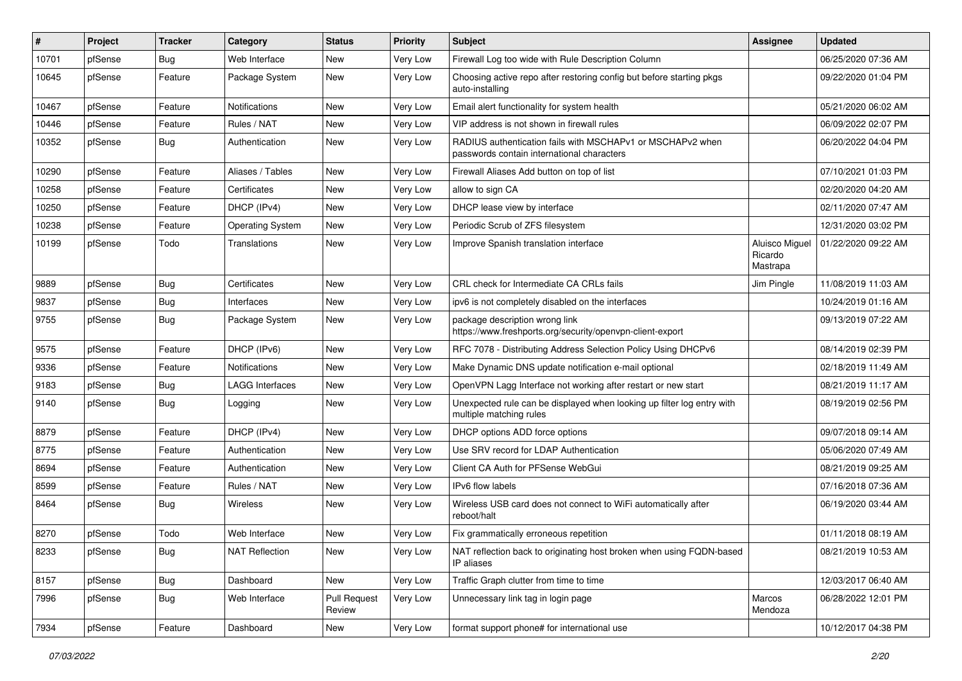| ∦     | Project | <b>Tracker</b> | Category                | <b>Status</b>                 | Priority | <b>Subject</b>                                                                                           | <b>Assignee</b>                       | <b>Updated</b>      |
|-------|---------|----------------|-------------------------|-------------------------------|----------|----------------------------------------------------------------------------------------------------------|---------------------------------------|---------------------|
| 10701 | pfSense | Bug            | Web Interface           | New                           | Very Low | Firewall Log too wide with Rule Description Column                                                       |                                       | 06/25/2020 07:36 AM |
| 10645 | pfSense | Feature        | Package System          | <b>New</b>                    | Very Low | Choosing active repo after restoring config but before starting pkgs<br>auto-installing                  |                                       | 09/22/2020 01:04 PM |
| 10467 | pfSense | Feature        | Notifications           | <b>New</b>                    | Very Low | Email alert functionality for system health                                                              |                                       | 05/21/2020 06:02 AM |
| 10446 | pfSense | Feature        | Rules / NAT             | <b>New</b>                    | Very Low | VIP address is not shown in firewall rules                                                               |                                       | 06/09/2022 02:07 PM |
| 10352 | pfSense | <b>Bug</b>     | Authentication          | New                           | Very Low | RADIUS authentication fails with MSCHAPv1 or MSCHAPv2 when<br>passwords contain international characters |                                       | 06/20/2022 04:04 PM |
| 10290 | pfSense | Feature        | Aliases / Tables        | <b>New</b>                    | Very Low | Firewall Aliases Add button on top of list                                                               |                                       | 07/10/2021 01:03 PM |
| 10258 | pfSense | Feature        | Certificates            | New                           | Very Low | allow to sign CA                                                                                         |                                       | 02/20/2020 04:20 AM |
| 10250 | pfSense | Feature        | DHCP (IPv4)             | <b>New</b>                    | Very Low | DHCP lease view by interface                                                                             |                                       | 02/11/2020 07:47 AM |
| 10238 | pfSense | Feature        | <b>Operating System</b> | New                           | Very Low | Periodic Scrub of ZFS filesystem                                                                         |                                       | 12/31/2020 03:02 PM |
| 10199 | pfSense | Todo           | Translations            | New                           | Very Low | Improve Spanish translation interface                                                                    | Aluisco Miguel<br>Ricardo<br>Mastrapa | 01/22/2020 09:22 AM |
| 9889  | pfSense | Bug            | Certificates            | New                           | Very Low | CRL check for Intermediate CA CRLs fails                                                                 | Jim Pingle                            | 11/08/2019 11:03 AM |
| 9837  | pfSense | <b>Bug</b>     | Interfaces              | <b>New</b>                    | Very Low | ipv6 is not completely disabled on the interfaces                                                        |                                       | 10/24/2019 01:16 AM |
| 9755  | pfSense | Bug            | Package System          | New                           | Very Low | package description wrong link<br>https://www.freshports.org/security/openvpn-client-export              |                                       | 09/13/2019 07:22 AM |
| 9575  | pfSense | Feature        | DHCP (IPv6)             | New                           | Very Low | RFC 7078 - Distributing Address Selection Policy Using DHCPv6                                            |                                       | 08/14/2019 02:39 PM |
| 9336  | pfSense | Feature        | Notifications           | <b>New</b>                    | Very Low | Make Dynamic DNS update notification e-mail optional                                                     |                                       | 02/18/2019 11:49 AM |
| 9183  | pfSense | <b>Bug</b>     | <b>LAGG Interfaces</b>  | New                           | Very Low | OpenVPN Lagg Interface not working after restart or new start                                            |                                       | 08/21/2019 11:17 AM |
| 9140  | pfSense | <b>Bug</b>     | Logging                 | New                           | Very Low | Unexpected rule can be displayed when looking up filter log entry with<br>multiple matching rules        |                                       | 08/19/2019 02:56 PM |
| 8879  | pfSense | Feature        | DHCP (IPv4)             | New                           | Very Low | DHCP options ADD force options                                                                           |                                       | 09/07/2018 09:14 AM |
| 8775  | pfSense | Feature        | Authentication          | New                           | Very Low | Use SRV record for LDAP Authentication                                                                   |                                       | 05/06/2020 07:49 AM |
| 8694  | pfSense | Feature        | Authentication          | <b>New</b>                    | Very Low | Client CA Auth for PFSense WebGui                                                                        |                                       | 08/21/2019 09:25 AM |
| 8599  | pfSense | Feature        | Rules / NAT             | New                           | Very Low | IPv6 flow labels                                                                                         |                                       | 07/16/2018 07:36 AM |
| 8464  | pfSense | <b>Bug</b>     | Wireless                | New                           | Very Low | Wireless USB card does not connect to WiFi automatically after<br>reboot/halt                            |                                       | 06/19/2020 03:44 AM |
| 8270  | pfSense | Todo           | Web Interface           | New                           | Very Low | Fix grammatically erroneous repetition                                                                   |                                       | 01/11/2018 08:19 AM |
| 8233  | pfSense | <b>Bug</b>     | <b>NAT Reflection</b>   | New                           | Very Low | NAT reflection back to originating host broken when using FQDN-based<br>IP aliases                       |                                       | 08/21/2019 10:53 AM |
| 8157  | pfSense | <b>Bug</b>     | Dashboard               | New                           | Very Low | Traffic Graph clutter from time to time                                                                  |                                       | 12/03/2017 06:40 AM |
| 7996  | pfSense | <b>Bug</b>     | Web Interface           | <b>Pull Request</b><br>Review | Very Low | Unnecessary link tag in login page                                                                       | Marcos<br>Mendoza                     | 06/28/2022 12:01 PM |
| 7934  | pfSense | Feature        | Dashboard               | New                           | Very Low | format support phone# for international use                                                              |                                       | 10/12/2017 04:38 PM |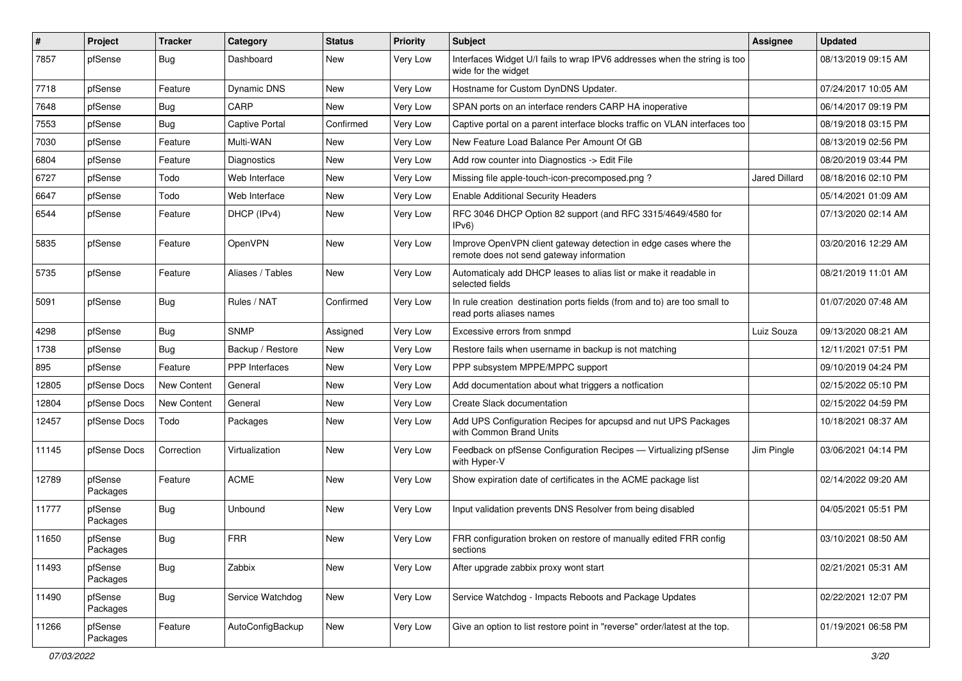| #     | Project             | <b>Tracker</b>     | Category              | <b>Status</b> | Priority | Subject                                                                                                      | Assignee             | <b>Updated</b>      |
|-------|---------------------|--------------------|-----------------------|---------------|----------|--------------------------------------------------------------------------------------------------------------|----------------------|---------------------|
| 7857  | pfSense             | Bug                | Dashboard             | New           | Very Low | Interfaces Widget U/I fails to wrap IPV6 addresses when the string is too<br>wide for the widget             |                      | 08/13/2019 09:15 AM |
| 7718  | pfSense             | Feature            | <b>Dynamic DNS</b>    | New           | Very Low | Hostname for Custom DynDNS Updater.                                                                          |                      | 07/24/2017 10:05 AM |
| 7648  | pfSense             | <b>Bug</b>         | CARP                  | <b>New</b>    | Very Low | SPAN ports on an interface renders CARP HA inoperative                                                       |                      | 06/14/2017 09:19 PM |
| 7553  | pfSense             | <b>Bug</b>         | <b>Captive Portal</b> | Confirmed     | Very Low | Captive portal on a parent interface blocks traffic on VLAN interfaces too                                   |                      | 08/19/2018 03:15 PM |
| 7030  | pfSense             | Feature            | Multi-WAN             | New           | Very Low | New Feature Load Balance Per Amount Of GB                                                                    |                      | 08/13/2019 02:56 PM |
| 6804  | pfSense             | Feature            | Diagnostics           | New           | Very Low | Add row counter into Diagnostics -> Edit File                                                                |                      | 08/20/2019 03:44 PM |
| 6727  | pfSense             | Todo               | Web Interface         | New           | Very Low | Missing file apple-touch-icon-precomposed.png?                                                               | <b>Jared Dillard</b> | 08/18/2016 02:10 PM |
| 6647  | pfSense             | Todo               | Web Interface         | New           | Very Low | <b>Enable Additional Security Headers</b>                                                                    |                      | 05/14/2021 01:09 AM |
| 6544  | pfSense             | Feature            | DHCP (IPv4)           | New           | Very Low | RFC 3046 DHCP Option 82 support (and RFC 3315/4649/4580 for<br>IPv6)                                         |                      | 07/13/2020 02:14 AM |
| 5835  | pfSense             | Feature            | OpenVPN               | New           | Very Low | Improve OpenVPN client gateway detection in edge cases where the<br>remote does not send gateway information |                      | 03/20/2016 12:29 AM |
| 5735  | pfSense             | Feature            | Aliases / Tables      | <b>New</b>    | Very Low | Automaticaly add DHCP leases to alias list or make it readable in<br>selected fields                         |                      | 08/21/2019 11:01 AM |
| 5091  | pfSense             | Bug                | Rules / NAT           | Confirmed     | Very Low | In rule creation destination ports fields (from and to) are too small to<br>read ports aliases names         |                      | 01/07/2020 07:48 AM |
| 4298  | pfSense             | <b>Bug</b>         | <b>SNMP</b>           | Assigned      | Very Low | Excessive errors from snmpd                                                                                  | Luiz Souza           | 09/13/2020 08:21 AM |
| 1738  | pfSense             | <b>Bug</b>         | Backup / Restore      | New           | Very Low | Restore fails when username in backup is not matching                                                        |                      | 12/11/2021 07:51 PM |
| 895   | pfSense             | Feature            | <b>PPP</b> Interfaces | New           | Very Low | PPP subsystem MPPE/MPPC support                                                                              |                      | 09/10/2019 04:24 PM |
| 12805 | pfSense Docs        | New Content        | General               | New           | Very Low | Add documentation about what triggers a notfication                                                          |                      | 02/15/2022 05:10 PM |
| 12804 | pfSense Docs        | <b>New Content</b> | General               | New           | Very Low | Create Slack documentation                                                                                   |                      | 02/15/2022 04:59 PM |
| 12457 | pfSense Docs        | Todo               | Packages              | New           | Very Low | Add UPS Configuration Recipes for apcupsd and nut UPS Packages<br>with Common Brand Units                    |                      | 10/18/2021 08:37 AM |
| 11145 | pfSense Docs        | Correction         | Virtualization        | New           | Very Low | Feedback on pfSense Configuration Recipes - Virtualizing pfSense<br>with Hyper-V                             | Jim Pingle           | 03/06/2021 04:14 PM |
| 12789 | pfSense<br>Packages | Feature            | <b>ACME</b>           | New           | Very Low | Show expiration date of certificates in the ACME package list                                                |                      | 02/14/2022 09:20 AM |
| 11777 | pfSense<br>Packages | <b>Bug</b>         | Unbound               | New           | Very Low | Input validation prevents DNS Resolver from being disabled                                                   |                      | 04/05/2021 05:51 PM |
| 11650 | pfSense<br>Packages | <b>Bug</b>         | <b>FRR</b>            | New           | Verv Low | FRR configuration broken on restore of manually edited FRR config<br>sections                                |                      | 03/10/2021 08:50 AM |
| 11493 | pfSense<br>Packages | <b>Bug</b>         | Zabbix                | New           | Very Low | After upgrade zabbix proxy wont start                                                                        |                      | 02/21/2021 05:31 AM |
| 11490 | pfSense<br>Packages | <b>Bug</b>         | Service Watchdog      | New           | Very Low | Service Watchdog - Impacts Reboots and Package Updates                                                       |                      | 02/22/2021 12:07 PM |
| 11266 | pfSense<br>Packages | Feature            | AutoConfigBackup      | New           | Very Low | Give an option to list restore point in "reverse" order/latest at the top.                                   |                      | 01/19/2021 06:58 PM |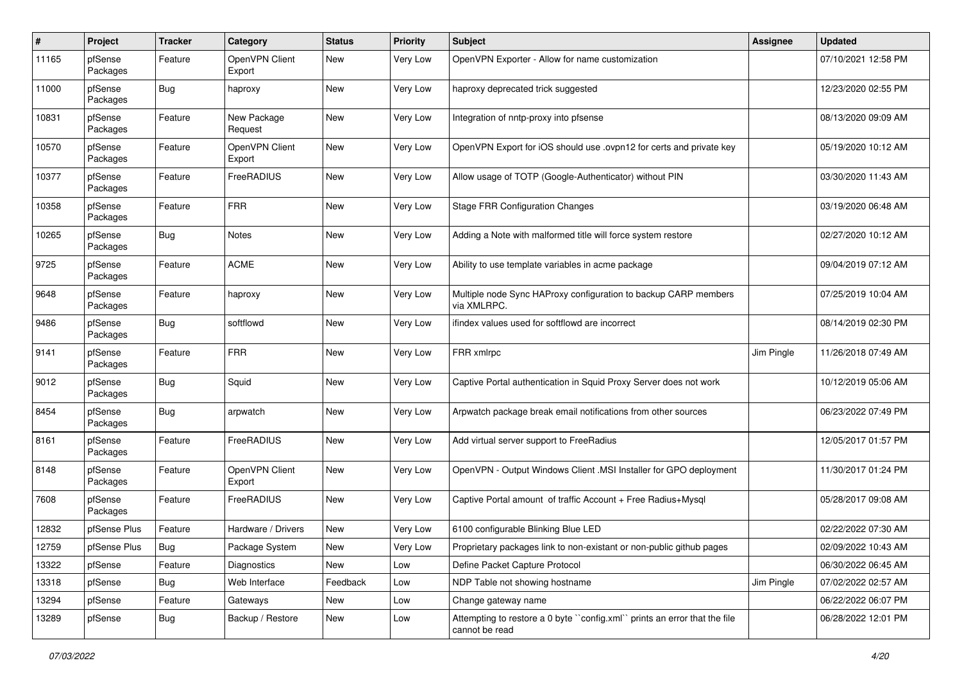| $\pmb{\#}$ | Project             | Tracker    | Category                 | <b>Status</b> | <b>Priority</b> | Subject                                                                                     | <b>Assignee</b> | <b>Updated</b>      |
|------------|---------------------|------------|--------------------------|---------------|-----------------|---------------------------------------------------------------------------------------------|-----------------|---------------------|
| 11165      | pfSense<br>Packages | Feature    | OpenVPN Client<br>Export | New           | Very Low        | OpenVPN Exporter - Allow for name customization                                             |                 | 07/10/2021 12:58 PM |
| 11000      | pfSense<br>Packages | <b>Bug</b> | haproxy                  | New           | Very Low        | haproxy deprecated trick suggested                                                          |                 | 12/23/2020 02:55 PM |
| 10831      | pfSense<br>Packages | Feature    | New Package<br>Request   | <b>New</b>    | Very Low        | Integration of nntp-proxy into pfsense                                                      |                 | 08/13/2020 09:09 AM |
| 10570      | pfSense<br>Packages | Feature    | OpenVPN Client<br>Export | <b>New</b>    | Very Low        | OpenVPN Export for iOS should use .ovpn12 for certs and private key                         |                 | 05/19/2020 10:12 AM |
| 10377      | pfSense<br>Packages | Feature    | FreeRADIUS               | New           | Very Low        | Allow usage of TOTP (Google-Authenticator) without PIN                                      |                 | 03/30/2020 11:43 AM |
| 10358      | pfSense<br>Packages | Feature    | <b>FRR</b>               | <b>New</b>    | Very Low        | <b>Stage FRR Configuration Changes</b>                                                      |                 | 03/19/2020 06:48 AM |
| 10265      | pfSense<br>Packages | <b>Bug</b> | Notes                    | <b>New</b>    | Very Low        | Adding a Note with malformed title will force system restore                                |                 | 02/27/2020 10:12 AM |
| 9725       | pfSense<br>Packages | Feature    | <b>ACME</b>              | New           | Very Low        | Ability to use template variables in acme package                                           |                 | 09/04/2019 07:12 AM |
| 9648       | pfSense<br>Packages | Feature    | haproxy                  | New           | Very Low        | Multiple node Sync HAProxy configuration to backup CARP members<br>via XMLRPC.              |                 | 07/25/2019 10:04 AM |
| 9486       | pfSense<br>Packages | <b>Bug</b> | softflowd                | <b>New</b>    | Very Low        | ifindex values used for softflowd are incorrect                                             |                 | 08/14/2019 02:30 PM |
| 9141       | pfSense<br>Packages | Feature    | <b>FRR</b>               | <b>New</b>    | Very Low        | FRR xmlrpc                                                                                  | Jim Pingle      | 11/26/2018 07:49 AM |
| 9012       | pfSense<br>Packages | <b>Bug</b> | Squid                    | <b>New</b>    | Very Low        | Captive Portal authentication in Squid Proxy Server does not work                           |                 | 10/12/2019 05:06 AM |
| 8454       | pfSense<br>Packages | Bug        | arpwatch                 | New           | Very Low        | Arpwatch package break email notifications from other sources                               |                 | 06/23/2022 07:49 PM |
| 8161       | pfSense<br>Packages | Feature    | FreeRADIUS               | <b>New</b>    | Very Low        | Add virtual server support to FreeRadius                                                    |                 | 12/05/2017 01:57 PM |
| 8148       | pfSense<br>Packages | Feature    | OpenVPN Client<br>Export | New           | Very Low        | OpenVPN - Output Windows Client .MSI Installer for GPO deployment                           |                 | 11/30/2017 01:24 PM |
| 7608       | pfSense<br>Packages | Feature    | FreeRADIUS               | <b>New</b>    | Very Low        | Captive Portal amount of traffic Account + Free Radius+Mysql                                |                 | 05/28/2017 09:08 AM |
| 12832      | pfSense Plus        | Feature    | Hardware / Drivers       | <b>New</b>    | Very Low        | 6100 configurable Blinking Blue LED                                                         |                 | 02/22/2022 07:30 AM |
| 12759      | pfSense Plus        | Bug        | Package System           | New           | Very Low        | Proprietary packages link to non-existant or non-public github pages                        |                 | 02/09/2022 10:43 AM |
| 13322      | pfSense             | Feature    | Diagnostics              | New           | Low             | Define Packet Capture Protocol                                                              |                 | 06/30/2022 06:45 AM |
| 13318      | pfSense             | <b>Bug</b> | Web Interface            | Feedback      | Low             | NDP Table not showing hostname                                                              | Jim Pingle      | 07/02/2022 02:57 AM |
| 13294      | pfSense             | Feature    | Gateways                 | New           | Low             | Change gateway name                                                                         |                 | 06/22/2022 06:07 PM |
| 13289      | pfSense             | <b>Bug</b> | Backup / Restore         | New           | Low             | Attempting to restore a 0 byte "config.xml" prints an error that the file<br>cannot be read |                 | 06/28/2022 12:01 PM |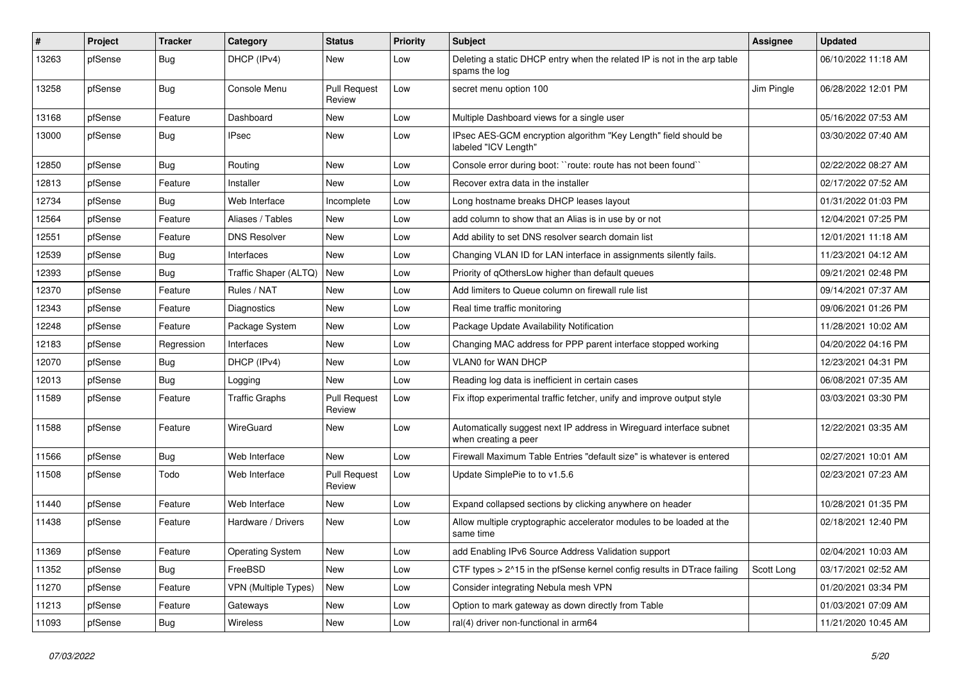| #     | Project | <b>Tracker</b> | Category                | <b>Status</b>                 | <b>Priority</b> | <b>Subject</b>                                                                              | Assignee   | <b>Updated</b>      |
|-------|---------|----------------|-------------------------|-------------------------------|-----------------|---------------------------------------------------------------------------------------------|------------|---------------------|
| 13263 | pfSense | Bug            | DHCP (IPv4)             | New                           | Low             | Deleting a static DHCP entry when the related IP is not in the arp table<br>spams the log   |            | 06/10/2022 11:18 AM |
| 13258 | pfSense | Bug            | Console Menu            | <b>Pull Request</b><br>Review | Low             | secret menu option 100                                                                      | Jim Pingle | 06/28/2022 12:01 PM |
| 13168 | pfSense | Feature        | Dashboard               | New                           | Low             | Multiple Dashboard views for a single user                                                  |            | 05/16/2022 07:53 AM |
| 13000 | pfSense | Bug            | <b>IPsec</b>            | New                           | Low             | IPsec AES-GCM encryption algorithm "Key Length" field should be<br>labeled "ICV Length"     |            | 03/30/2022 07:40 AM |
| 12850 | pfSense | Bug            | Routing                 | New                           | Low             | Console error during boot: "route: route has not been found"                                |            | 02/22/2022 08:27 AM |
| 12813 | pfSense | Feature        | Installer               | New                           | Low             | Recover extra data in the installer                                                         |            | 02/17/2022 07:52 AM |
| 12734 | pfSense | Bug            | Web Interface           | Incomplete                    | Low             | Long hostname breaks DHCP leases layout                                                     |            | 01/31/2022 01:03 PM |
| 12564 | pfSense | Feature        | Aliases / Tables        | New                           | Low             | add column to show that an Alias is in use by or not                                        |            | 12/04/2021 07:25 PM |
| 12551 | pfSense | Feature        | <b>DNS Resolver</b>     | New                           | Low             | Add ability to set DNS resolver search domain list                                          |            | 12/01/2021 11:18 AM |
| 12539 | pfSense | Bug            | Interfaces              | New                           | Low             | Changing VLAN ID for LAN interface in assignments silently fails.                           |            | 11/23/2021 04:12 AM |
| 12393 | pfSense | Bug            | Traffic Shaper (ALTQ)   | New                           | Low             | Priority of gOthersLow higher than default queues                                           |            | 09/21/2021 02:48 PM |
| 12370 | pfSense | Feature        | Rules / NAT             | New                           | Low             | Add limiters to Queue column on firewall rule list                                          |            | 09/14/2021 07:37 AM |
| 12343 | pfSense | Feature        | Diagnostics             | New                           | Low             | Real time traffic monitoring                                                                |            | 09/06/2021 01:26 PM |
| 12248 | pfSense | Feature        | Package System          | New                           | Low             | Package Update Availability Notification                                                    |            | 11/28/2021 10:02 AM |
| 12183 | pfSense | Regression     | Interfaces              | New                           | Low             | Changing MAC address for PPP parent interface stopped working                               |            | 04/20/2022 04:16 PM |
| 12070 | pfSense | <b>Bug</b>     | DHCP (IPv4)             | New                           | Low             | <b>VLAN0 for WAN DHCP</b>                                                                   |            | 12/23/2021 04:31 PM |
| 12013 | pfSense | Bug            | Logging                 | New                           | Low             | Reading log data is inefficient in certain cases                                            |            | 06/08/2021 07:35 AM |
| 11589 | pfSense | Feature        | <b>Traffic Graphs</b>   | <b>Pull Request</b><br>Review | Low             | Fix iftop experimental traffic fetcher, unify and improve output style                      |            | 03/03/2021 03:30 PM |
| 11588 | pfSense | Feature        | WireGuard               | New                           | Low             | Automatically suggest next IP address in Wireguard interface subnet<br>when creating a peer |            | 12/22/2021 03:35 AM |
| 11566 | pfSense | Bug            | Web Interface           | New                           | Low             | Firewall Maximum Table Entries "default size" is whatever is entered                        |            | 02/27/2021 10:01 AM |
| 11508 | pfSense | Todo           | Web Interface           | <b>Pull Request</b><br>Review | Low             | Update SimplePie to to v1.5.6                                                               |            | 02/23/2021 07:23 AM |
| 11440 | pfSense | Feature        | Web Interface           | New                           | Low             | Expand collapsed sections by clicking anywhere on header                                    |            | 10/28/2021 01:35 PM |
| 11438 | pfSense | Feature        | Hardware / Drivers      | New                           | Low             | Allow multiple cryptographic accelerator modules to be loaded at the<br>same time           |            | 02/18/2021 12:40 PM |
| 11369 | pfSense | Feature        | <b>Operating System</b> | New                           | Low             | add Enabling IPv6 Source Address Validation support                                         |            | 02/04/2021 10:03 AM |
| 11352 | pfSense | <b>Bug</b>     | FreeBSD                 | New                           | Low             | CTF types > 2^15 in the pfSense kernel config results in DTrace failing                     | Scott Long | 03/17/2021 02:52 AM |
| 11270 | pfSense | Feature        | VPN (Multiple Types)    | New                           | Low             | Consider integrating Nebula mesh VPN                                                        |            | 01/20/2021 03:34 PM |
| 11213 | pfSense | Feature        | Gateways                | New                           | Low             | Option to mark gateway as down directly from Table                                          |            | 01/03/2021 07:09 AM |
| 11093 | pfSense | Bug            | Wireless                | New                           | Low             | ral(4) driver non-functional in arm64                                                       |            | 11/21/2020 10:45 AM |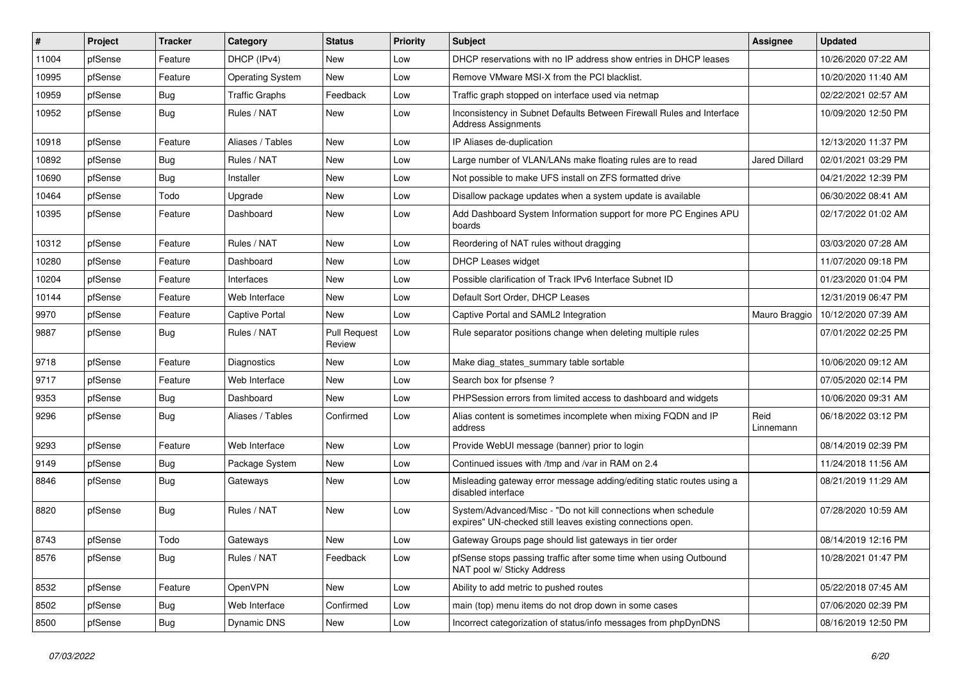| #     | Project | Tracker    | Category                | <b>Status</b>                 | <b>Priority</b> | <b>Subject</b>                                                                                                               | Assignee             | <b>Updated</b>      |
|-------|---------|------------|-------------------------|-------------------------------|-----------------|------------------------------------------------------------------------------------------------------------------------------|----------------------|---------------------|
| 11004 | pfSense | Feature    | DHCP (IPv4)             | New                           | Low             | DHCP reservations with no IP address show entries in DHCP leases                                                             |                      | 10/26/2020 07:22 AM |
| 10995 | pfSense | Feature    | <b>Operating System</b> | New                           | Low             | Remove VMware MSI-X from the PCI blacklist.                                                                                  |                      | 10/20/2020 11:40 AM |
| 10959 | pfSense | <b>Bug</b> | <b>Traffic Graphs</b>   | Feedback                      | Low             | Traffic graph stopped on interface used via netmap                                                                           |                      | 02/22/2021 02:57 AM |
| 10952 | pfSense | <b>Bug</b> | Rules / NAT             | New                           | Low             | Inconsistency in Subnet Defaults Between Firewall Rules and Interface<br><b>Address Assignments</b>                          |                      | 10/09/2020 12:50 PM |
| 10918 | pfSense | Feature    | Aliases / Tables        | New                           | Low             | IP Aliases de-duplication                                                                                                    |                      | 12/13/2020 11:37 PM |
| 10892 | pfSense | <b>Bug</b> | Rules / NAT             | New                           | Low             | Large number of VLAN/LANs make floating rules are to read                                                                    | <b>Jared Dillard</b> | 02/01/2021 03:29 PM |
| 10690 | pfSense | <b>Bug</b> | Installer               | New                           | Low             | Not possible to make UFS install on ZFS formatted drive                                                                      |                      | 04/21/2022 12:39 PM |
| 10464 | pfSense | Todo       | Upgrade                 | New                           | Low             | Disallow package updates when a system update is available                                                                   |                      | 06/30/2022 08:41 AM |
| 10395 | pfSense | Feature    | Dashboard               | New                           | Low             | Add Dashboard System Information support for more PC Engines APU<br>boards                                                   |                      | 02/17/2022 01:02 AM |
| 10312 | pfSense | Feature    | Rules / NAT             | New                           | Low             | Reordering of NAT rules without dragging                                                                                     |                      | 03/03/2020 07:28 AM |
| 10280 | pfSense | Feature    | Dashboard               | New                           | Low             | <b>DHCP Leases widget</b>                                                                                                    |                      | 11/07/2020 09:18 PM |
| 10204 | pfSense | Feature    | Interfaces              | New                           | Low             | Possible clarification of Track IPv6 Interface Subnet ID                                                                     |                      | 01/23/2020 01:04 PM |
| 10144 | pfSense | Feature    | Web Interface           | New                           | Low             | Default Sort Order, DHCP Leases                                                                                              |                      | 12/31/2019 06:47 PM |
| 9970  | pfSense | Feature    | <b>Captive Portal</b>   | New                           | Low             | Captive Portal and SAML2 Integration                                                                                         | Mauro Braggio        | 10/12/2020 07:39 AM |
| 9887  | pfSense | <b>Bug</b> | Rules / NAT             | <b>Pull Request</b><br>Review | Low             | Rule separator positions change when deleting multiple rules                                                                 |                      | 07/01/2022 02:25 PM |
| 9718  | pfSense | Feature    | Diagnostics             | New                           | Low             | Make diag states summary table sortable                                                                                      |                      | 10/06/2020 09:12 AM |
| 9717  | pfSense | Feature    | Web Interface           | New                           | Low             | Search box for pfsense?                                                                                                      |                      | 07/05/2020 02:14 PM |
| 9353  | pfSense | <b>Bug</b> | Dashboard               | New                           | Low             | PHPSession errors from limited access to dashboard and widgets                                                               |                      | 10/06/2020 09:31 AM |
| 9296  | pfSense | <b>Bug</b> | Aliases / Tables        | Confirmed                     | Low             | Alias content is sometimes incomplete when mixing FQDN and IP<br>address                                                     | Reid<br>Linnemann    | 06/18/2022 03:12 PM |
| 9293  | pfSense | Feature    | Web Interface           | <b>New</b>                    | Low             | Provide WebUI message (banner) prior to login                                                                                |                      | 08/14/2019 02:39 PM |
| 9149  | pfSense | <b>Bug</b> | Package System          | New                           | Low             | Continued issues with /tmp and /var in RAM on 2.4                                                                            |                      | 11/24/2018 11:56 AM |
| 8846  | pfSense | <b>Bug</b> | Gateways                | New                           | Low             | Misleading gateway error message adding/editing static routes using a<br>disabled interface                                  |                      | 08/21/2019 11:29 AM |
| 8820  | pfSense | <b>Bug</b> | Rules / NAT             | New                           | Low             | System/Advanced/Misc - "Do not kill connections when schedule<br>expires" UN-checked still leaves existing connections open. |                      | 07/28/2020 10:59 AM |
| 8743  | pfSense | Todo       | Gateways                | New                           | Low             | Gateway Groups page should list gateways in tier order                                                                       |                      | 08/14/2019 12:16 PM |
| 8576  | pfSense | Bug        | Rules / NAT             | Feedback                      | Low             | pfSense stops passing traffic after some time when using Outbound<br>NAT pool w/ Sticky Address                              |                      | 10/28/2021 01:47 PM |
| 8532  | pfSense | Feature    | OpenVPN                 | New                           | Low             | Ability to add metric to pushed routes                                                                                       |                      | 05/22/2018 07:45 AM |
| 8502  | pfSense | <b>Bug</b> | Web Interface           | Confirmed                     | Low             | main (top) menu items do not drop down in some cases                                                                         |                      | 07/06/2020 02:39 PM |
| 8500  | pfSense | <b>Bug</b> | Dynamic DNS             | New                           | Low             | Incorrect categorization of status/info messages from phpDynDNS                                                              |                      | 08/16/2019 12:50 PM |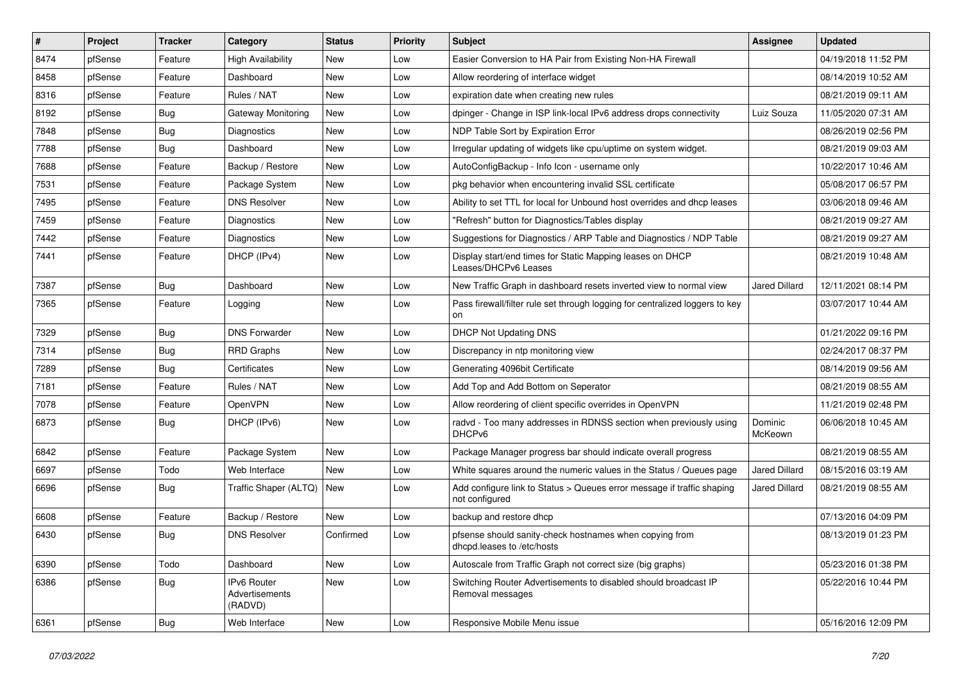| #    | Project | <b>Tracker</b> | Category                                 | <b>Status</b> | <b>Priority</b> | Subject                                                                                  | <b>Assignee</b>    | <b>Updated</b>      |
|------|---------|----------------|------------------------------------------|---------------|-----------------|------------------------------------------------------------------------------------------|--------------------|---------------------|
| 8474 | pfSense | Feature        | High Availability                        | New           | Low             | Easier Conversion to HA Pair from Existing Non-HA Firewall                               |                    | 04/19/2018 11:52 PM |
| 8458 | pfSense | Feature        | Dashboard                                | New           | Low             | Allow reordering of interface widget                                                     |                    | 08/14/2019 10:52 AM |
| 8316 | pfSense | Feature        | Rules / NAT                              | New           | Low             | expiration date when creating new rules                                                  |                    | 08/21/2019 09:11 AM |
| 8192 | pfSense | Bug            | Gateway Monitoring                       | New           | Low             | dpinger - Change in ISP link-local IPv6 address drops connectivity                       | Luiz Souza         | 11/05/2020 07:31 AM |
| 7848 | pfSense | <b>Bug</b>     | Diagnostics                              | New           | Low             | NDP Table Sort by Expiration Error                                                       |                    | 08/26/2019 02:56 PM |
| 7788 | pfSense | <b>Bug</b>     | Dashboard                                | New           | Low             | Irregular updating of widgets like cpu/uptime on system widget.                          |                    | 08/21/2019 09:03 AM |
| 7688 | pfSense | Feature        | Backup / Restore                         | New           | Low             | AutoConfigBackup - Info Icon - username only                                             |                    | 10/22/2017 10:46 AM |
| 7531 | pfSense | Feature        | Package System                           | <b>New</b>    | Low             | pkg behavior when encountering invalid SSL certificate                                   |                    | 05/08/2017 06:57 PM |
| 7495 | pfSense | Feature        | <b>DNS Resolver</b>                      | New           | Low             | Ability to set TTL for local for Unbound host overrides and dhcp leases                  |                    | 03/06/2018 09:46 AM |
| 7459 | pfSense | Feature        | <b>Diagnostics</b>                       | New           | Low             | "Refresh" button for Diagnostics/Tables display                                          |                    | 08/21/2019 09:27 AM |
| 7442 | pfSense | Feature        | Diagnostics                              | New           | Low             | Suggestions for Diagnostics / ARP Table and Diagnostics / NDP Table                      |                    | 08/21/2019 09:27 AM |
| 7441 | pfSense | Feature        | DHCP (IPv4)                              | New           | Low             | Display start/end times for Static Mapping leases on DHCP<br>Leases/DHCPv6 Leases        |                    | 08/21/2019 10:48 AM |
| 7387 | pfSense | Bug            | Dashboard                                | New           | Low             | New Traffic Graph in dashboard resets inverted view to normal view                       | Jared Dillard      | 12/11/2021 08:14 PM |
| 7365 | pfSense | Feature        | Logging                                  | New           | Low             | Pass firewall/filter rule set through logging for centralized loggers to key<br>on       |                    | 03/07/2017 10:44 AM |
| 7329 | pfSense | Bug            | <b>DNS Forwarder</b>                     | New           | Low             | <b>DHCP Not Updating DNS</b>                                                             |                    | 01/21/2022 09:16 PM |
| 7314 | pfSense | <b>Bug</b>     | <b>RRD Graphs</b>                        | New           | Low             | Discrepancy in ntp monitoring view                                                       |                    | 02/24/2017 08:37 PM |
| 7289 | pfSense | Bug            | Certificates                             | New           | Low             | Generating 4096bit Certificate                                                           |                    | 08/14/2019 09:56 AM |
| 7181 | pfSense | Feature        | Rules / NAT                              | New           | Low             | Add Top and Add Bottom on Seperator                                                      |                    | 08/21/2019 08:55 AM |
| 7078 | pfSense | Feature        | OpenVPN                                  | New           | Low             | Allow reordering of client specific overrides in OpenVPN                                 |                    | 11/21/2019 02:48 PM |
| 6873 | pfSense | Bug            | DHCP (IPv6)                              | New           | Low             | radvd - Too many addresses in RDNSS section when previously using<br>DHCPv6              | Dominic<br>McKeown | 06/06/2018 10:45 AM |
| 6842 | pfSense | Feature        | Package System                           | <b>New</b>    | Low             | Package Manager progress bar should indicate overall progress                            |                    | 08/21/2019 08:55 AM |
| 6697 | pfSense | Todo           | Web Interface                            | New           | Low             | White squares around the numeric values in the Status / Queues page                      | Jared Dillard      | 08/15/2016 03:19 AM |
| 6696 | pfSense | <b>Bug</b>     | Traffic Shaper (ALTQ)                    | New           | Low             | Add configure link to Status > Queues error message if traffic shaping<br>not configured | Jared Dillard      | 08/21/2019 08:55 AM |
| 6608 | pfSense | Feature        | Backup / Restore                         | New           | Low             | backup and restore dhcp                                                                  |                    | 07/13/2016 04:09 PM |
| 6430 | pfSense | <b>Bug</b>     | <b>DNS Resolver</b>                      | Confirmed     | Low             | pfsense should sanity-check hostnames when copying from<br>dhcpd.leases to /etc/hosts    |                    | 08/13/2019 01:23 PM |
| 6390 | pfSense | Todo           | Dashboard                                | New           | Low             | Autoscale from Traffic Graph not correct size (big graphs)                               |                    | 05/23/2016 01:38 PM |
| 6386 | pfSense | Bug            | IPv6 Router<br>Advertisements<br>(RADVD) | New           | Low             | Switching Router Advertisements to disabled should broadcast IP<br>Removal messages      |                    | 05/22/2016 10:44 PM |
| 6361 | pfSense | <b>Bug</b>     | Web Interface                            | New           | Low             | Responsive Mobile Menu issue                                                             |                    | 05/16/2016 12:09 PM |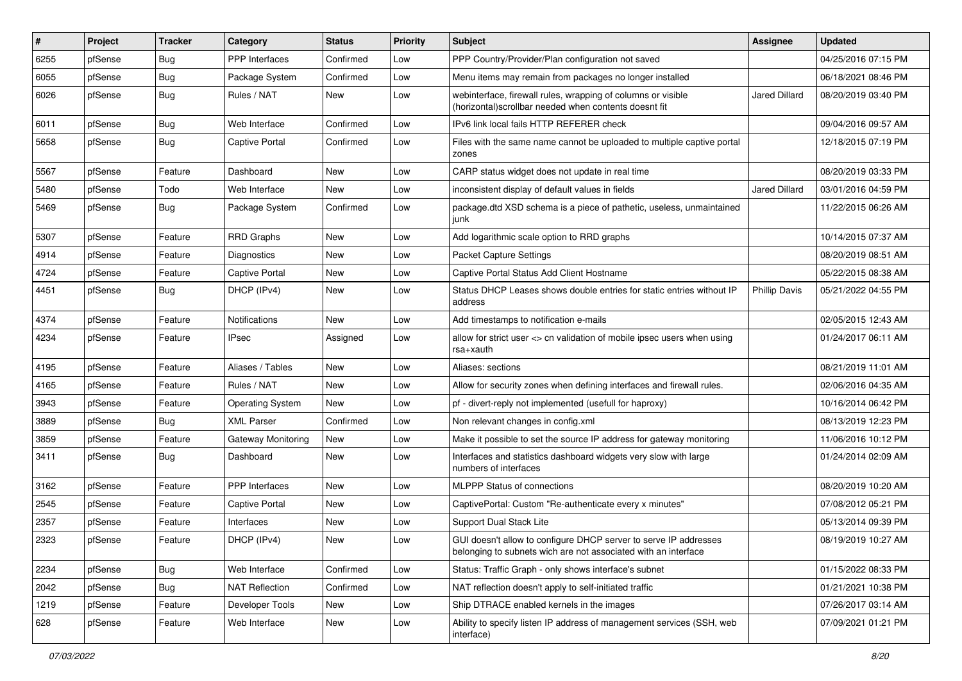| ∦    | Project | <b>Tracker</b> | Category                | <b>Status</b> | Priority | <b>Subject</b>                                                                                                                     | <b>Assignee</b>      | <b>Updated</b>      |
|------|---------|----------------|-------------------------|---------------|----------|------------------------------------------------------------------------------------------------------------------------------------|----------------------|---------------------|
| 6255 | pfSense | <b>Bug</b>     | PPP Interfaces          | Confirmed     | Low      | PPP Country/Provider/Plan configuration not saved                                                                                  |                      | 04/25/2016 07:15 PM |
| 6055 | pfSense | <b>Bug</b>     | Package System          | Confirmed     | Low      | Menu items may remain from packages no longer installed                                                                            |                      | 06/18/2021 08:46 PM |
| 6026 | pfSense | Bug            | Rules / NAT             | New           | Low      | webinterface, firewall rules, wrapping of columns or visible<br>(horizontal) scrollbar needed when contents doesnt fit             | Jared Dillard        | 08/20/2019 03:40 PM |
| 6011 | pfSense | <b>Bug</b>     | Web Interface           | Confirmed     | Low      | IPv6 link local fails HTTP REFERER check                                                                                           |                      | 09/04/2016 09:57 AM |
| 5658 | pfSense | Bug            | <b>Captive Portal</b>   | Confirmed     | Low      | Files with the same name cannot be uploaded to multiple captive portal<br>zones                                                    |                      | 12/18/2015 07:19 PM |
| 5567 | pfSense | Feature        | Dashboard               | <b>New</b>    | Low      | CARP status widget does not update in real time                                                                                    |                      | 08/20/2019 03:33 PM |
| 5480 | pfSense | Todo           | Web Interface           | New           | Low      | inconsistent display of default values in fields                                                                                   | Jared Dillard        | 03/01/2016 04:59 PM |
| 5469 | pfSense | Bug            | Package System          | Confirmed     | Low      | package.dtd XSD schema is a piece of pathetic, useless, unmaintained<br>junk                                                       |                      | 11/22/2015 06:26 AM |
| 5307 | pfSense | Feature        | <b>RRD Graphs</b>       | <b>New</b>    | Low      | Add logarithmic scale option to RRD graphs                                                                                         |                      | 10/14/2015 07:37 AM |
| 4914 | pfSense | Feature        | <b>Diagnostics</b>      | <b>New</b>    | Low      | <b>Packet Capture Settings</b>                                                                                                     |                      | 08/20/2019 08:51 AM |
| 4724 | pfSense | Feature        | <b>Captive Portal</b>   | New           | Low      | Captive Portal Status Add Client Hostname                                                                                          |                      | 05/22/2015 08:38 AM |
| 4451 | pfSense | Bug            | DHCP (IPv4)             | New           | Low      | Status DHCP Leases shows double entries for static entries without IP<br>address                                                   | <b>Phillip Davis</b> | 05/21/2022 04:55 PM |
| 4374 | pfSense | Feature        | Notifications           | New           | Low      | Add timestamps to notification e-mails                                                                                             |                      | 02/05/2015 12:43 AM |
| 4234 | pfSense | Feature        | <b>IPsec</b>            | Assigned      | Low      | allow for strict user <> cn validation of mobile ipsec users when using<br>rsa+xauth                                               |                      | 01/24/2017 06:11 AM |
| 4195 | pfSense | Feature        | Aliases / Tables        | <b>New</b>    | Low      | Aliases: sections                                                                                                                  |                      | 08/21/2019 11:01 AM |
| 4165 | pfSense | Feature        | Rules / NAT             | New           | Low      | Allow for security zones when defining interfaces and firewall rules.                                                              |                      | 02/06/2016 04:35 AM |
| 3943 | pfSense | Feature        | <b>Operating System</b> | New           | Low      | pf - divert-reply not implemented (usefull for haproxy)                                                                            |                      | 10/16/2014 06:42 PM |
| 3889 | pfSense | <b>Bug</b>     | <b>XML Parser</b>       | Confirmed     | Low      | Non relevant changes in config.xml                                                                                                 |                      | 08/13/2019 12:23 PM |
| 3859 | pfSense | Feature        | Gateway Monitoring      | <b>New</b>    | Low      | Make it possible to set the source IP address for gateway monitoring                                                               |                      | 11/06/2016 10:12 PM |
| 3411 | pfSense | Bug            | Dashboard               | New           | Low      | Interfaces and statistics dashboard widgets very slow with large<br>numbers of interfaces                                          |                      | 01/24/2014 02:09 AM |
| 3162 | pfSense | Feature        | PPP Interfaces          | New           | Low      | <b>MLPPP Status of connections</b>                                                                                                 |                      | 08/20/2019 10:20 AM |
| 2545 | pfSense | Feature        | <b>Captive Portal</b>   | <b>New</b>    | Low      | CaptivePortal: Custom "Re-authenticate every x minutes"                                                                            |                      | 07/08/2012 05:21 PM |
| 2357 | pfSense | Feature        | Interfaces              | <b>New</b>    | Low      | <b>Support Dual Stack Lite</b>                                                                                                     |                      | 05/13/2014 09:39 PM |
| 2323 | pfSense | Feature        | DHCP (IPv4)             | New           | Low      | GUI doesn't allow to configure DHCP server to serve IP addresses<br>belonging to subnets wich are not associated with an interface |                      | 08/19/2019 10:27 AM |
| 2234 | pfSense | <b>Bug</b>     | Web Interface           | Confirmed     | Low      | Status: Traffic Graph - only shows interface's subnet                                                                              |                      | 01/15/2022 08:33 PM |
| 2042 | pfSense | <b>Bug</b>     | <b>NAT Reflection</b>   | Confirmed     | Low      | NAT reflection doesn't apply to self-initiated traffic                                                                             |                      | 01/21/2021 10:38 PM |
| 1219 | pfSense | Feature        | Developer Tools         | New           | Low      | Ship DTRACE enabled kernels in the images                                                                                          |                      | 07/26/2017 03:14 AM |
| 628  | pfSense | Feature        | Web Interface           | New           | Low      | Ability to specify listen IP address of management services (SSH, web<br>interface)                                                |                      | 07/09/2021 01:21 PM |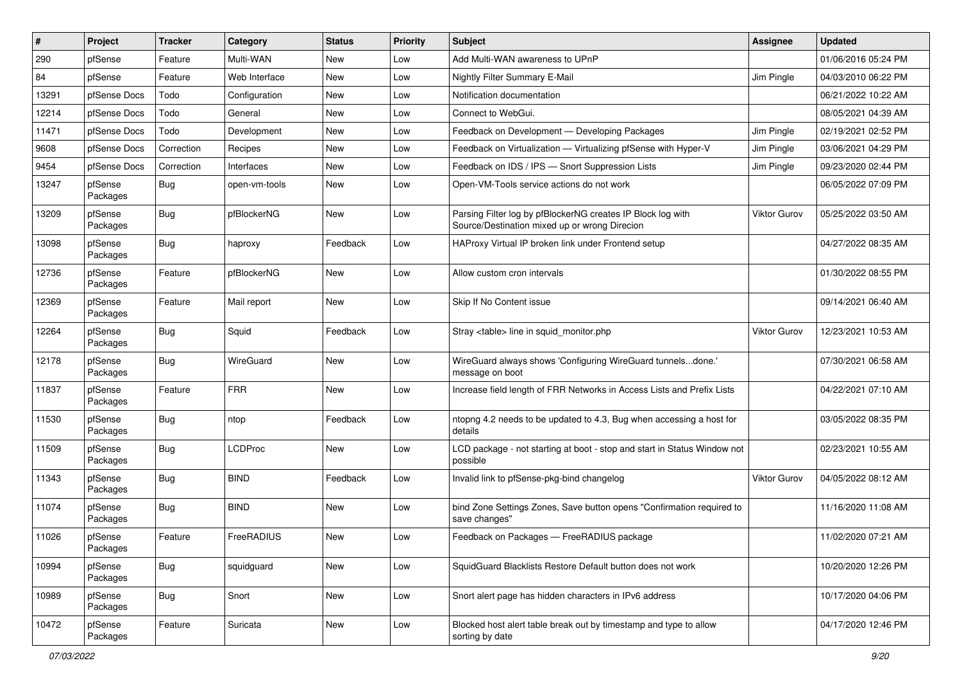| #     | Project             | <b>Tracker</b> | Category       | <b>Status</b> | Priority | <b>Subject</b>                                                                                               | <b>Assignee</b>     | <b>Updated</b>      |
|-------|---------------------|----------------|----------------|---------------|----------|--------------------------------------------------------------------------------------------------------------|---------------------|---------------------|
| 290   | pfSense             | Feature        | Multi-WAN      | New           | Low      | Add Multi-WAN awareness to UPnP                                                                              |                     | 01/06/2016 05:24 PM |
| 84    | pfSense             | Feature        | Web Interface  | New           | Low      | Nightly Filter Summary E-Mail                                                                                | Jim Pingle          | 04/03/2010 06:22 PM |
| 13291 | pfSense Docs        | Todo           | Configuration  | New           | Low      | Notification documentation                                                                                   |                     | 06/21/2022 10:22 AM |
| 12214 | pfSense Docs        | Todo           | General        | <b>New</b>    | Low      | Connect to WebGui.                                                                                           |                     | 08/05/2021 04:39 AM |
| 11471 | pfSense Docs        | Todo           | Development    | <b>New</b>    | Low      | Feedback on Development - Developing Packages                                                                | Jim Pingle          | 02/19/2021 02:52 PM |
| 9608  | pfSense Docs        | Correction     | Recipes        | New           | Low      | Feedback on Virtualization - Virtualizing pfSense with Hyper-V                                               | Jim Pingle          | 03/06/2021 04:29 PM |
| 9454  | pfSense Docs        | Correction     | Interfaces     | New           | Low      | Feedback on IDS / IPS - Snort Suppression Lists                                                              | Jim Pingle          | 09/23/2020 02:44 PM |
| 13247 | pfSense<br>Packages | <b>Bug</b>     | open-vm-tools  | New           | Low      | Open-VM-Tools service actions do not work                                                                    |                     | 06/05/2022 07:09 PM |
| 13209 | pfSense<br>Packages | <b>Bug</b>     | pfBlockerNG    | New           | Low      | Parsing Filter log by pfBlockerNG creates IP Block log with<br>Source/Destination mixed up or wrong Direcion | Viktor Gurov        | 05/25/2022 03:50 AM |
| 13098 | pfSense<br>Packages | <b>Bug</b>     | haproxy        | Feedback      | Low      | HAProxy Virtual IP broken link under Frontend setup                                                          |                     | 04/27/2022 08:35 AM |
| 12736 | pfSense<br>Packages | Feature        | pfBlockerNG    | New           | Low      | Allow custom cron intervals                                                                                  |                     | 01/30/2022 08:55 PM |
| 12369 | pfSense<br>Packages | Feature        | Mail report    | <b>New</b>    | Low      | Skip If No Content issue                                                                                     |                     | 09/14/2021 06:40 AM |
| 12264 | pfSense<br>Packages | <b>Bug</b>     | Squid          | Feedback      | Low      | Stray <table> line in squid monitor.php</table>                                                              | <b>Viktor Gurov</b> | 12/23/2021 10:53 AM |
| 12178 | pfSense<br>Packages | <b>Bug</b>     | WireGuard      | New           | Low      | WireGuard always shows 'Configuring WireGuard tunnelsdone.'<br>message on boot                               |                     | 07/30/2021 06:58 AM |
| 11837 | pfSense<br>Packages | Feature        | <b>FRR</b>     | <b>New</b>    | Low      | Increase field length of FRR Networks in Access Lists and Prefix Lists                                       |                     | 04/22/2021 07:10 AM |
| 11530 | pfSense<br>Packages | <b>Bug</b>     | ntop           | Feedback      | Low      | ntopng 4.2 needs to be updated to 4.3, Bug when accessing a host for<br>details                              |                     | 03/05/2022 08:35 PM |
| 11509 | pfSense<br>Packages | <b>Bug</b>     | <b>LCDProc</b> | New           | Low      | LCD package - not starting at boot - stop and start in Status Window not<br>possible                         |                     | 02/23/2021 10:55 AM |
| 11343 | pfSense<br>Packages | <b>Bug</b>     | <b>BIND</b>    | Feedback      | Low      | Invalid link to pfSense-pkg-bind changelog                                                                   | Viktor Gurov        | 04/05/2022 08:12 AM |
| 11074 | pfSense<br>Packages | <b>Bug</b>     | <b>BIND</b>    | <b>New</b>    | Low      | bind Zone Settings Zones, Save button opens "Confirmation required to<br>save changes"                       |                     | 11/16/2020 11:08 AM |
| 11026 | pfSense<br>Packages | Feature        | FreeRADIUS     | New           | Low      | Feedback on Packages - FreeRADIUS package                                                                    |                     | 11/02/2020 07:21 AM |
| 10994 | pfSense<br>Packages | <b>Bug</b>     | squidguard     | New           | Low      | SquidGuard Blacklists Restore Default button does not work                                                   |                     | 10/20/2020 12:26 PM |
| 10989 | pfSense<br>Packages | <b>Bug</b>     | Snort          | New           | Low      | Snort alert page has hidden characters in IPv6 address                                                       |                     | 10/17/2020 04:06 PM |
| 10472 | pfSense<br>Packages | Feature        | Suricata       | New           | Low      | Blocked host alert table break out by timestamp and type to allow<br>sorting by date                         |                     | 04/17/2020 12:46 PM |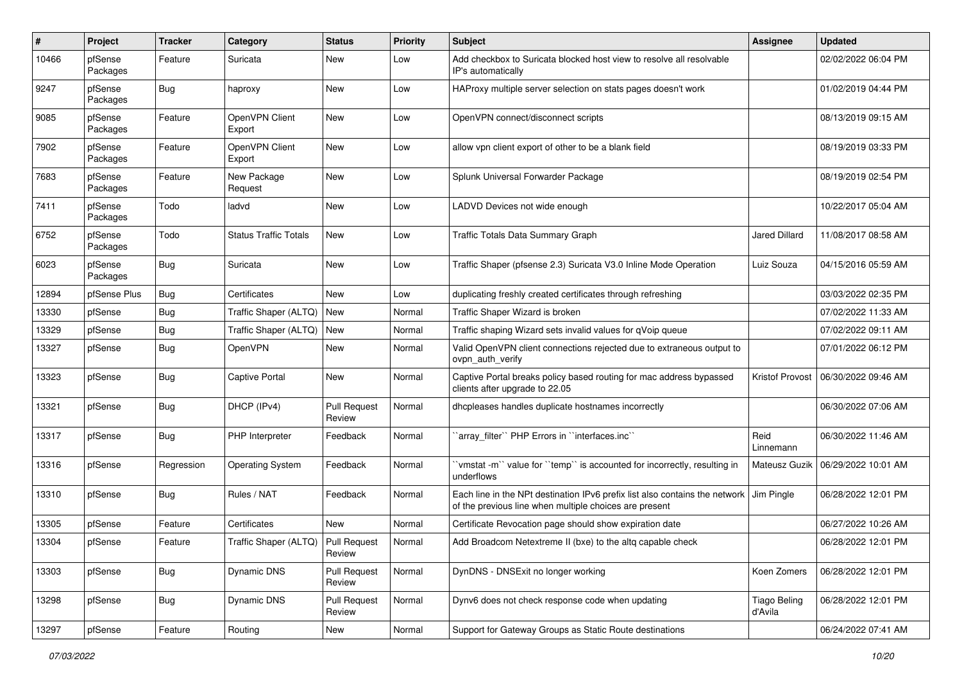| #     | Project             | Tracker    | Category                     | <b>Status</b>                 | <b>Priority</b> | <b>Subject</b>                                                                                                                        | <b>Assignee</b>                | <b>Updated</b>      |
|-------|---------------------|------------|------------------------------|-------------------------------|-----------------|---------------------------------------------------------------------------------------------------------------------------------------|--------------------------------|---------------------|
| 10466 | pfSense<br>Packages | Feature    | Suricata                     | New                           | Low             | Add checkbox to Suricata blocked host view to resolve all resolvable<br>IP's automatically                                            |                                | 02/02/2022 06:04 PM |
| 9247  | pfSense<br>Packages | <b>Bug</b> | haproxy                      | New                           | Low             | HAProxy multiple server selection on stats pages doesn't work                                                                         |                                | 01/02/2019 04:44 PM |
| 9085  | pfSense<br>Packages | Feature    | OpenVPN Client<br>Export     | New                           | Low             | OpenVPN connect/disconnect scripts                                                                                                    |                                | 08/13/2019 09:15 AM |
| 7902  | pfSense<br>Packages | Feature    | OpenVPN Client<br>Export     | New                           | Low             | allow vpn client export of other to be a blank field                                                                                  |                                | 08/19/2019 03:33 PM |
| 7683  | pfSense<br>Packages | Feature    | New Package<br>Request       | New                           | Low             | Splunk Universal Forwarder Package                                                                                                    |                                | 08/19/2019 02:54 PM |
| 7411  | pfSense<br>Packages | Todo       | ladvd                        | New                           | Low             | LADVD Devices not wide enough                                                                                                         |                                | 10/22/2017 05:04 AM |
| 6752  | pfSense<br>Packages | Todo       | <b>Status Traffic Totals</b> | New                           | Low             | Traffic Totals Data Summary Graph                                                                                                     | <b>Jared Dillard</b>           | 11/08/2017 08:58 AM |
| 6023  | pfSense<br>Packages | <b>Bug</b> | Suricata                     | New                           | Low             | Traffic Shaper (pfsense 2.3) Suricata V3.0 Inline Mode Operation                                                                      | Luiz Souza                     | 04/15/2016 05:59 AM |
| 12894 | pfSense Plus        | <b>Bug</b> | Certificates                 | <b>New</b>                    | Low             | duplicating freshly created certificates through refreshing                                                                           |                                | 03/03/2022 02:35 PM |
| 13330 | pfSense             | <b>Bug</b> | Traffic Shaper (ALTQ)        | <b>New</b>                    | Normal          | Traffic Shaper Wizard is broken                                                                                                       |                                | 07/02/2022 11:33 AM |
| 13329 | pfSense             | <b>Bug</b> | Traffic Shaper (ALTQ)        | New                           | Normal          | Traffic shaping Wizard sets invalid values for qVoip queue                                                                            |                                | 07/02/2022 09:11 AM |
| 13327 | pfSense             | <b>Bug</b> | OpenVPN                      | New                           | Normal          | Valid OpenVPN client connections rejected due to extraneous output to<br>ovpn auth verify                                             |                                | 07/01/2022 06:12 PM |
| 13323 | pfSense             | <b>Bug</b> | Captive Portal               | New                           | Normal          | Captive Portal breaks policy based routing for mac address bypassed<br>clients after upgrade to 22.05                                 | <b>Kristof Provost</b>         | 06/30/2022 09:46 AM |
| 13321 | pfSense             | <b>Bug</b> | DHCP (IPv4)                  | <b>Pull Request</b><br>Review | Normal          | dhcpleases handles duplicate hostnames incorrectly                                                                                    |                                | 06/30/2022 07:06 AM |
| 13317 | pfSense             | <b>Bug</b> | PHP Interpreter              | Feedback                      | Normal          | 'array_filter'' PHP Errors in ''interfaces.inc''                                                                                      | Reid<br>Linnemann              | 06/30/2022 11:46 AM |
| 13316 | pfSense             | Regression | <b>Operating System</b>      | Feedback                      | Normal          | `vmstat -m`` value for ``temp`` is accounted for incorrectly, resulting in<br>underflows                                              | Mateusz Guzik                  | 06/29/2022 10:01 AM |
| 13310 | pfSense             | <b>Bug</b> | Rules / NAT                  | Feedback                      | Normal          | Each line in the NPt destination IPv6 prefix list also contains the network<br>of the previous line when multiple choices are present | Jim Pingle                     | 06/28/2022 12:01 PM |
| 13305 | pfSense             | Feature    | Certificates                 | <b>New</b>                    | Normal          | Certificate Revocation page should show expiration date                                                                               |                                | 06/27/2022 10:26 AM |
| 13304 | pfSense             | Feature    | Traffic Shaper (ALTQ)        | Pull Request<br>Review        | Normal          | Add Broadcom Netextreme II (bxe) to the altq capable check                                                                            |                                | 06/28/2022 12:01 PM |
| 13303 | pfSense             | <b>Bug</b> | <b>Dynamic DNS</b>           | <b>Pull Request</b><br>Review | Normal          | DynDNS - DNSExit no longer working                                                                                                    | Koen Zomers                    | 06/28/2022 12:01 PM |
| 13298 | pfSense             | <b>Bug</b> | Dynamic DNS                  | <b>Pull Request</b><br>Review | Normal          | Dynv6 does not check response code when updating                                                                                      | <b>Tiago Beling</b><br>d'Avila | 06/28/2022 12:01 PM |
| 13297 | pfSense             | Feature    | Routing                      | New                           | Normal          | Support for Gateway Groups as Static Route destinations                                                                               |                                | 06/24/2022 07:41 AM |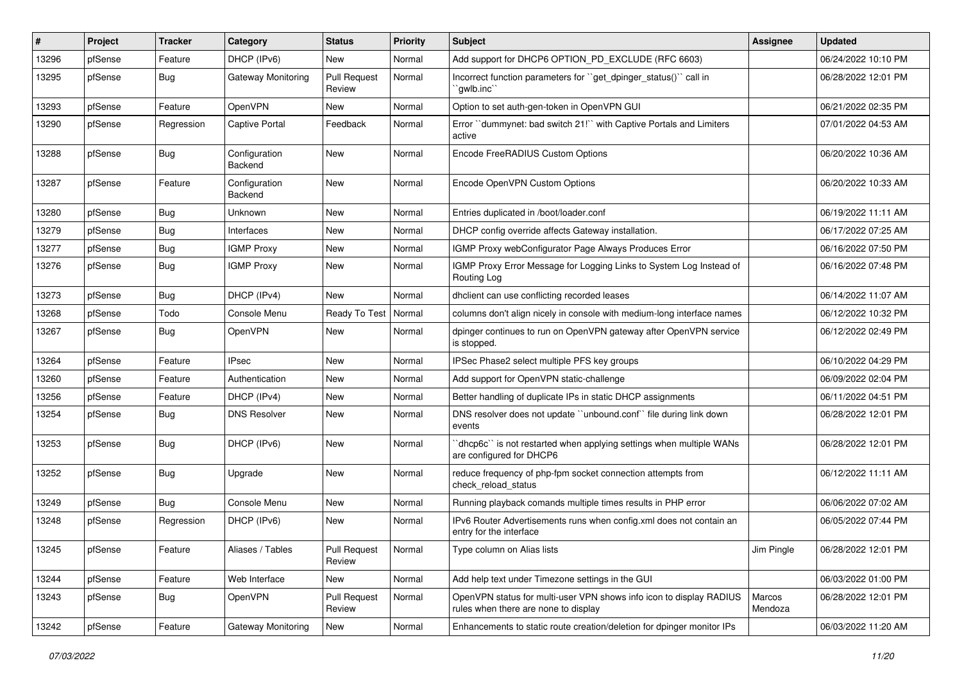| $\vert$ # | Project | <b>Tracker</b> | Category                  | <b>Status</b>                 | <b>Priority</b> | <b>Subject</b>                                                                                              | Assignee          | <b>Updated</b>      |
|-----------|---------|----------------|---------------------------|-------------------------------|-----------------|-------------------------------------------------------------------------------------------------------------|-------------------|---------------------|
| 13296     | pfSense | Feature        | DHCP (IPv6)               | New                           | Normal          | Add support for DHCP6 OPTION_PD_EXCLUDE (RFC 6603)                                                          |                   | 06/24/2022 10:10 PM |
| 13295     | pfSense | Bug            | <b>Gateway Monitoring</b> | <b>Pull Request</b><br>Review | Normal          | Incorrect function parameters for "get_dpinger_status()" call in<br>`gwlb.inc``                             |                   | 06/28/2022 12:01 PM |
| 13293     | pfSense | Feature        | <b>OpenVPN</b>            | New                           | Normal          | Option to set auth-gen-token in OpenVPN GUI                                                                 |                   | 06/21/2022 02:35 PM |
| 13290     | pfSense | Regression     | <b>Captive Portal</b>     | Feedback                      | Normal          | Error "dummynet: bad switch 21!" with Captive Portals and Limiters<br>active                                |                   | 07/01/2022 04:53 AM |
| 13288     | pfSense | Bug            | Configuration<br>Backend  | New                           | Normal          | Encode FreeRADIUS Custom Options                                                                            |                   | 06/20/2022 10:36 AM |
| 13287     | pfSense | Feature        | Configuration<br>Backend  | New                           | Normal          | Encode OpenVPN Custom Options                                                                               |                   | 06/20/2022 10:33 AM |
| 13280     | pfSense | Bug            | Unknown                   | New                           | Normal          | Entries duplicated in /boot/loader.conf                                                                     |                   | 06/19/2022 11:11 AM |
| 13279     | pfSense | <b>Bug</b>     | Interfaces                | New                           | Normal          | DHCP config override affects Gateway installation.                                                          |                   | 06/17/2022 07:25 AM |
| 13277     | pfSense | <b>Bug</b>     | <b>IGMP Proxy</b>         | New                           | Normal          | IGMP Proxy webConfigurator Page Always Produces Error                                                       |                   | 06/16/2022 07:50 PM |
| 13276     | pfSense | Bug            | <b>IGMP Proxy</b>         | New                           | Normal          | IGMP Proxy Error Message for Logging Links to System Log Instead of<br>Routing Log                          |                   | 06/16/2022 07:48 PM |
| 13273     | pfSense | <b>Bug</b>     | DHCP (IPv4)               | New                           | Normal          | dhclient can use conflicting recorded leases                                                                |                   | 06/14/2022 11:07 AM |
| 13268     | pfSense | Todo           | Console Menu              | Ready To Test                 | Normal          | columns don't align nicely in console with medium-long interface names                                      |                   | 06/12/2022 10:32 PM |
| 13267     | pfSense | Bug            | OpenVPN                   | New                           | Normal          | dpinger continues to run on OpenVPN gateway after OpenVPN service<br>is stopped.                            |                   | 06/12/2022 02:49 PM |
| 13264     | pfSense | Feature        | <b>IPsec</b>              | New                           | Normal          | IPSec Phase2 select multiple PFS key groups                                                                 |                   | 06/10/2022 04:29 PM |
| 13260     | pfSense | Feature        | Authentication            | New                           | Normal          | Add support for OpenVPN static-challenge                                                                    |                   | 06/09/2022 02:04 PM |
| 13256     | pfSense | Feature        | DHCP (IPv4)               | New                           | Normal          | Better handling of duplicate IPs in static DHCP assignments                                                 |                   | 06/11/2022 04:51 PM |
| 13254     | pfSense | <b>Bug</b>     | <b>DNS Resolver</b>       | New                           | Normal          | DNS resolver does not update "unbound.conf" file during link down<br>events                                 |                   | 06/28/2022 12:01 PM |
| 13253     | pfSense | Bug            | DHCP (IPv6)               | New                           | Normal          | dhcp6c" is not restarted when applying settings when multiple WANs<br>are configured for DHCP6              |                   | 06/28/2022 12:01 PM |
| 13252     | pfSense | Bug            | Upgrade                   | <b>New</b>                    | Normal          | reduce frequency of php-fpm socket connection attempts from<br>check reload status                          |                   | 06/12/2022 11:11 AM |
| 13249     | pfSense | Bug            | Console Menu              | New                           | Normal          | Running playback comands multiple times results in PHP error                                                |                   | 06/06/2022 07:02 AM |
| 13248     | pfSense | Regression     | DHCP (IPv6)               | New                           | Normal          | IPv6 Router Advertisements runs when config.xml does not contain an<br>entry for the interface              |                   | 06/05/2022 07:44 PM |
| 13245     | pfSense | Feature        | Aliases / Tables          | <b>Pull Request</b><br>Review | Normal          | Type column on Alias lists                                                                                  | Jim Pingle        | 06/28/2022 12:01 PM |
| 13244     | pfSense | Feature        | Web Interface             | New                           | Normal          | Add help text under Timezone settings in the GUI                                                            |                   | 06/03/2022 01:00 PM |
| 13243     | pfSense | <b>Bug</b>     | OpenVPN                   | <b>Pull Request</b><br>Review | Normal          | OpenVPN status for multi-user VPN shows info icon to display RADIUS<br>rules when there are none to display | Marcos<br>Mendoza | 06/28/2022 12:01 PM |
| 13242     | pfSense | Feature        | Gateway Monitoring        | New                           | Normal          | Enhancements to static route creation/deletion for dpinger monitor IPs                                      |                   | 06/03/2022 11:20 AM |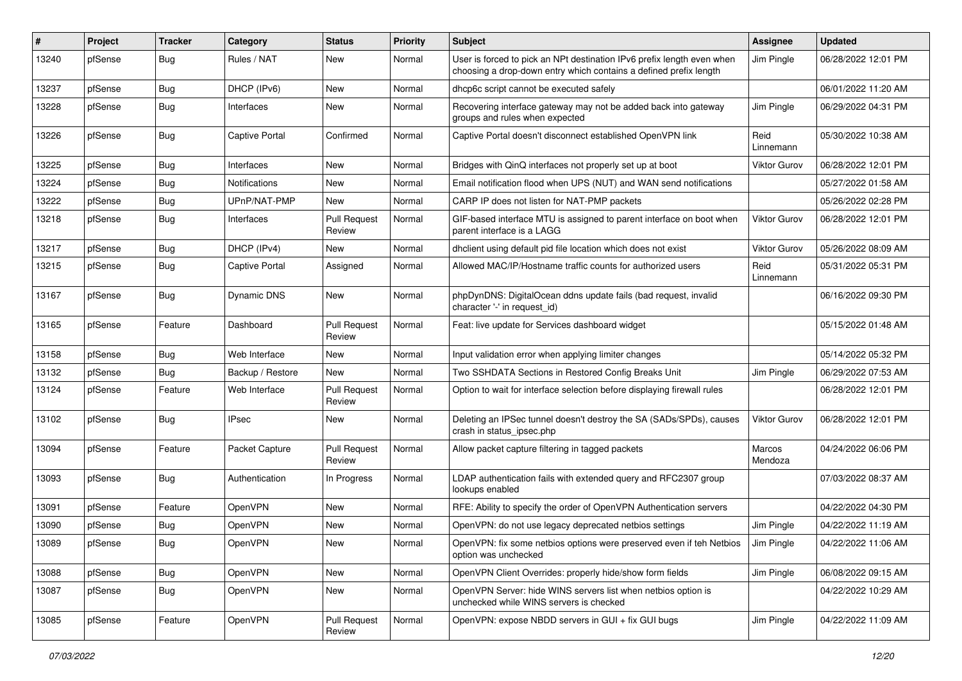| $\#$  | Project | Tracker    | Category              | <b>Status</b>                 | <b>Priority</b> | <b>Subject</b>                                                                                                                              | Assignee          | <b>Updated</b>      |
|-------|---------|------------|-----------------------|-------------------------------|-----------------|---------------------------------------------------------------------------------------------------------------------------------------------|-------------------|---------------------|
| 13240 | pfSense | <b>Bug</b> | Rules / NAT           | New                           | Normal          | User is forced to pick an NPt destination IPv6 prefix length even when<br>choosing a drop-down entry which contains a defined prefix length | Jim Pingle        | 06/28/2022 12:01 PM |
| 13237 | pfSense | <b>Bug</b> | DHCP (IPv6)           | New                           | Normal          | dhcp6c script cannot be executed safely                                                                                                     |                   | 06/01/2022 11:20 AM |
| 13228 | pfSense | <b>Bug</b> | Interfaces            | New                           | Normal          | Recovering interface gateway may not be added back into gateway<br>groups and rules when expected                                           | Jim Pingle        | 06/29/2022 04:31 PM |
| 13226 | pfSense | Bug        | <b>Captive Portal</b> | Confirmed                     | Normal          | Captive Portal doesn't disconnect established OpenVPN link                                                                                  | Reid<br>Linnemann | 05/30/2022 10:38 AM |
| 13225 | pfSense | Bug        | Interfaces            | New                           | Normal          | Bridges with QinQ interfaces not properly set up at boot                                                                                    | Viktor Gurov      | 06/28/2022 12:01 PM |
| 13224 | pfSense | <b>Bug</b> | Notifications         | New                           | Normal          | Email notification flood when UPS (NUT) and WAN send notifications                                                                          |                   | 05/27/2022 01:58 AM |
| 13222 | pfSense | <b>Bug</b> | UPnP/NAT-PMP          | New                           | Normal          | CARP IP does not listen for NAT-PMP packets                                                                                                 |                   | 05/26/2022 02:28 PM |
| 13218 | pfSense | <b>Bug</b> | Interfaces            | <b>Pull Request</b><br>Review | Normal          | GIF-based interface MTU is assigned to parent interface on boot when<br>parent interface is a LAGG                                          | Viktor Gurov      | 06/28/2022 12:01 PM |
| 13217 | pfSense | <b>Bug</b> | DHCP (IPv4)           | New                           | Normal          | dhclient using default pid file location which does not exist                                                                               | Viktor Gurov      | 05/26/2022 08:09 AM |
| 13215 | pfSense | <b>Bug</b> | Captive Portal        | Assigned                      | Normal          | Allowed MAC/IP/Hostname traffic counts for authorized users                                                                                 | Reid<br>Linnemann | 05/31/2022 05:31 PM |
| 13167 | pfSense | Bug        | Dynamic DNS           | <b>New</b>                    | Normal          | phpDynDNS: DigitalOcean ddns update fails (bad request, invalid<br>character '-' in request id)                                             |                   | 06/16/2022 09:30 PM |
| 13165 | pfSense | Feature    | Dashboard             | <b>Pull Request</b><br>Review | Normal          | Feat: live update for Services dashboard widget                                                                                             |                   | 05/15/2022 01:48 AM |
| 13158 | pfSense | Bug        | Web Interface         | New                           | Normal          | Input validation error when applying limiter changes                                                                                        |                   | 05/14/2022 05:32 PM |
| 13132 | pfSense | <b>Bug</b> | Backup / Restore      | New                           | Normal          | Two SSHDATA Sections in Restored Config Breaks Unit                                                                                         | Jim Pingle        | 06/29/2022 07:53 AM |
| 13124 | pfSense | Feature    | Web Interface         | <b>Pull Request</b><br>Review | Normal          | Option to wait for interface selection before displaying firewall rules                                                                     |                   | 06/28/2022 12:01 PM |
| 13102 | pfSense | Bug        | <b>IPsec</b>          | New                           | Normal          | Deleting an IPSec tunnel doesn't destroy the SA (SADs/SPDs), causes<br>crash in status_ipsec.php                                            | Viktor Gurov      | 06/28/2022 12:01 PM |
| 13094 | pfSense | Feature    | Packet Capture        | <b>Pull Request</b><br>Review | Normal          | Allow packet capture filtering in tagged packets                                                                                            | Marcos<br>Mendoza | 04/24/2022 06:06 PM |
| 13093 | pfSense | <b>Bug</b> | Authentication        | In Progress                   | Normal          | LDAP authentication fails with extended query and RFC2307 group<br>lookups enabled                                                          |                   | 07/03/2022 08:37 AM |
| 13091 | pfSense | Feature    | OpenVPN               | New                           | Normal          | RFE: Ability to specify the order of OpenVPN Authentication servers                                                                         |                   | 04/22/2022 04:30 PM |
| 13090 | pfSense | <b>Bug</b> | OpenVPN               | New                           | Normal          | OpenVPN: do not use legacy deprecated netbios settings                                                                                      | Jim Pingle        | 04/22/2022 11:19 AM |
| 13089 | pfSense | <b>Bug</b> | OpenVPN               | New                           | Normal          | OpenVPN: fix some netbios options were preserved even if teh Netbios J Jim Pingle<br>option was unchecked                                   |                   | 04/22/2022 11:06 AM |
| 13088 | pfSense | <b>Bug</b> | OpenVPN               | New                           | Normal          | OpenVPN Client Overrides: properly hide/show form fields                                                                                    | Jim Pingle        | 06/08/2022 09:15 AM |
| 13087 | pfSense | Bug        | OpenVPN               | New                           | Normal          | OpenVPN Server: hide WINS servers list when netbios option is<br>unchecked while WINS servers is checked                                    |                   | 04/22/2022 10:29 AM |
| 13085 | pfSense | Feature    | OpenVPN               | <b>Pull Request</b><br>Review | Normal          | OpenVPN: expose NBDD servers in GUI + fix GUI bugs                                                                                          | Jim Pingle        | 04/22/2022 11:09 AM |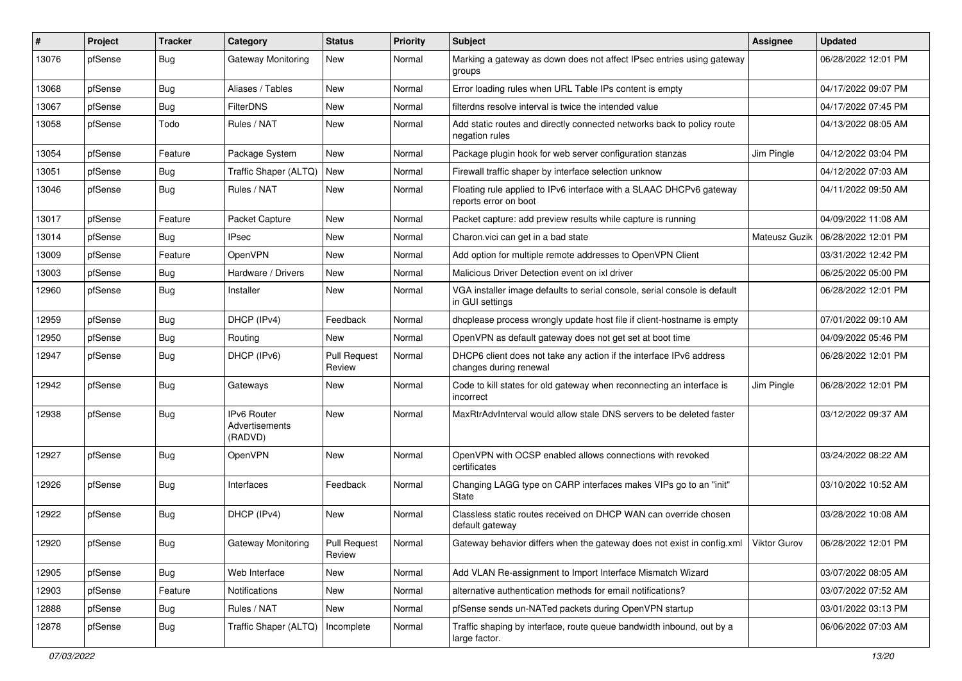| $\#$  | Project | <b>Tracker</b> | Category                                 | <b>Status</b>                 | Priority | <b>Subject</b>                                                                                | Assignee      | <b>Updated</b>      |
|-------|---------|----------------|------------------------------------------|-------------------------------|----------|-----------------------------------------------------------------------------------------------|---------------|---------------------|
| 13076 | pfSense | Bug            | <b>Gateway Monitoring</b>                | New                           | Normal   | Marking a gateway as down does not affect IPsec entries using gateway<br>groups               |               | 06/28/2022 12:01 PM |
| 13068 | pfSense | <b>Bug</b>     | Aliases / Tables                         | New                           | Normal   | Error loading rules when URL Table IPs content is empty                                       |               | 04/17/2022 09:07 PM |
| 13067 | pfSense | Bug            | <b>FilterDNS</b>                         | New                           | Normal   | filterdns resolve interval is twice the intended value                                        |               | 04/17/2022 07:45 PM |
| 13058 | pfSense | Todo           | Rules / NAT                              | <b>New</b>                    | Normal   | Add static routes and directly connected networks back to policy route<br>negation rules      |               | 04/13/2022 08:05 AM |
| 13054 | pfSense | Feature        | Package System                           | New                           | Normal   | Package plugin hook for web server configuration stanzas                                      | Jim Pingle    | 04/12/2022 03:04 PM |
| 13051 | pfSense | <b>Bug</b>     | Traffic Shaper (ALTQ)                    | New                           | Normal   | Firewall traffic shaper by interface selection unknow                                         |               | 04/12/2022 07:03 AM |
| 13046 | pfSense | Bug            | Rules / NAT                              | New                           | Normal   | Floating rule applied to IPv6 interface with a SLAAC DHCPv6 gateway<br>reports error on boot  |               | 04/11/2022 09:50 AM |
| 13017 | pfSense | Feature        | Packet Capture                           | New                           | Normal   | Packet capture: add preview results while capture is running                                  |               | 04/09/2022 11:08 AM |
| 13014 | pfSense | Bug            | <b>IPsec</b>                             | New                           | Normal   | Charon.vici can get in a bad state                                                            | Mateusz Guzik | 06/28/2022 12:01 PM |
| 13009 | pfSense | Feature        | OpenVPN                                  | <b>New</b>                    | Normal   | Add option for multiple remote addresses to OpenVPN Client                                    |               | 03/31/2022 12:42 PM |
| 13003 | pfSense | <b>Bug</b>     | Hardware / Drivers                       | New                           | Normal   | Malicious Driver Detection event on ixl driver                                                |               | 06/25/2022 05:00 PM |
| 12960 | pfSense | Bug            | Installer                                | New                           | Normal   | VGA installer image defaults to serial console, serial console is default<br>in GUI settings  |               | 06/28/2022 12:01 PM |
| 12959 | pfSense | Bug            | DHCP (IPv4)                              | Feedback                      | Normal   | dhcplease process wrongly update host file if client-hostname is empty                        |               | 07/01/2022 09:10 AM |
| 12950 | pfSense | <b>Bug</b>     | Routing                                  | New                           | Normal   | OpenVPN as default gateway does not get set at boot time                                      |               | 04/09/2022 05:46 PM |
| 12947 | pfSense | <b>Bug</b>     | DHCP (IPv6)                              | <b>Pull Request</b><br>Review | Normal   | DHCP6 client does not take any action if the interface IPv6 address<br>changes during renewal |               | 06/28/2022 12:01 PM |
| 12942 | pfSense | Bug            | Gateways                                 | <b>New</b>                    | Normal   | Code to kill states for old gateway when reconnecting an interface is<br>incorrect            | Jim Pingle    | 06/28/2022 12:01 PM |
| 12938 | pfSense | Bug            | IPv6 Router<br>Advertisements<br>(RADVD) | New                           | Normal   | MaxRtrAdvInterval would allow stale DNS servers to be deleted faster                          |               | 03/12/2022 09:37 AM |
| 12927 | pfSense | Bug            | OpenVPN                                  | New                           | Normal   | OpenVPN with OCSP enabled allows connections with revoked<br>certificates                     |               | 03/24/2022 08:22 AM |
| 12926 | pfSense | Bug            | Interfaces                               | Feedback                      | Normal   | Changing LAGG type on CARP interfaces makes VIPs go to an "init"<br>State                     |               | 03/10/2022 10:52 AM |
| 12922 | pfSense | Bug            | DHCP (IPv4)                              | <b>New</b>                    | Normal   | Classless static routes received on DHCP WAN can override chosen<br>default gateway           |               | 03/28/2022 10:08 AM |
| 12920 | pfSense | Bug            | Gateway Monitoring                       | Pull Request<br>Review        | Normal   | Gateway behavior differs when the gateway does not exist in config.xml Viktor Gurov           |               | 06/28/2022 12:01 PM |
| 12905 | pfSense | Bug            | Web Interface                            | New                           | Normal   | Add VLAN Re-assignment to Import Interface Mismatch Wizard                                    |               | 03/07/2022 08:05 AM |
| 12903 | pfSense | Feature        | Notifications                            | New                           | Normal   | alternative authentication methods for email notifications?                                   |               | 03/07/2022 07:52 AM |
| 12888 | pfSense | <b>Bug</b>     | Rules / NAT                              | New                           | Normal   | pfSense sends un-NATed packets during OpenVPN startup                                         |               | 03/01/2022 03:13 PM |
| 12878 | pfSense | Bug            | Traffic Shaper (ALTQ)                    | Incomplete                    | Normal   | Traffic shaping by interface, route queue bandwidth inbound, out by a<br>large factor.        |               | 06/06/2022 07:03 AM |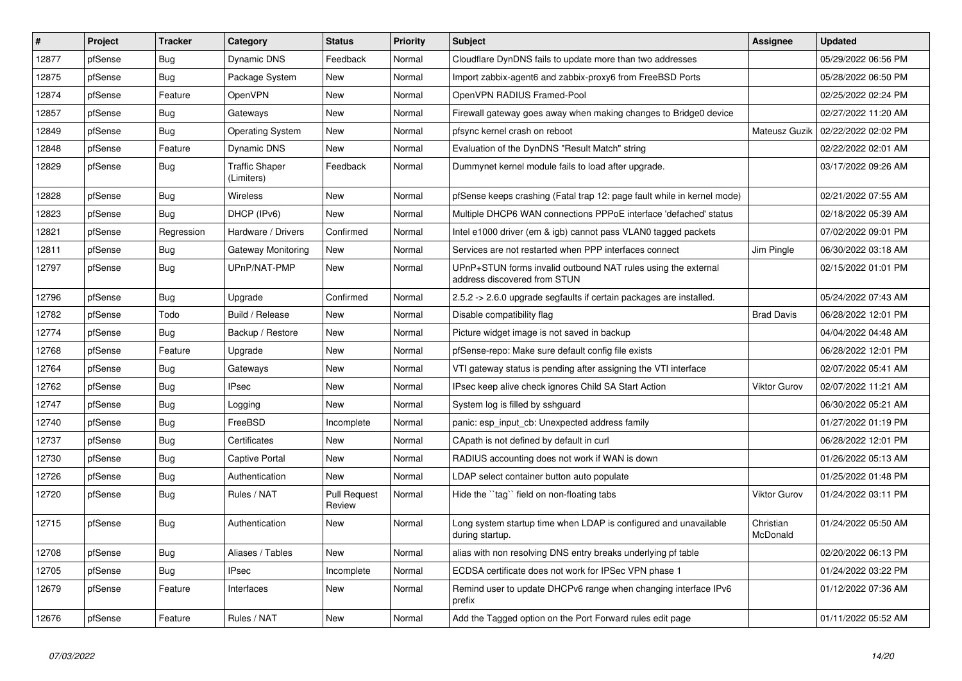| #     | Project | <b>Tracker</b> | Category                            | <b>Status</b>                 | <b>Priority</b> | <b>Subject</b>                                                                                | <b>Assignee</b>       | <b>Updated</b>      |
|-------|---------|----------------|-------------------------------------|-------------------------------|-----------------|-----------------------------------------------------------------------------------------------|-----------------------|---------------------|
| 12877 | pfSense | <b>Bug</b>     | Dynamic DNS                         | Feedback                      | Normal          | Cloudflare DynDNS fails to update more than two addresses                                     |                       | 05/29/2022 06:56 PM |
| 12875 | pfSense | Bug            | Package System                      | <b>New</b>                    | Normal          | Import zabbix-agent6 and zabbix-proxy6 from FreeBSD Ports                                     |                       | 05/28/2022 06:50 PM |
| 12874 | pfSense | Feature        | OpenVPN                             | <b>New</b>                    | Normal          | OpenVPN RADIUS Framed-Pool                                                                    |                       | 02/25/2022 02:24 PM |
| 12857 | pfSense | <b>Bug</b>     | Gateways                            | New                           | Normal          | Firewall gateway goes away when making changes to Bridge0 device                              |                       | 02/27/2022 11:20 AM |
| 12849 | pfSense | <b>Bug</b>     | <b>Operating System</b>             | <b>New</b>                    | Normal          | pfsync kernel crash on reboot                                                                 | Mateusz Guzik         | 02/22/2022 02:02 PM |
| 12848 | pfSense | Feature        | <b>Dynamic DNS</b>                  | <b>New</b>                    | Normal          | Evaluation of the DynDNS "Result Match" string                                                |                       | 02/22/2022 02:01 AM |
| 12829 | pfSense | Bug            | <b>Traffic Shaper</b><br>(Limiters) | Feedback                      | Normal          | Dummynet kernel module fails to load after upgrade.                                           |                       | 03/17/2022 09:26 AM |
| 12828 | pfSense | <b>Bug</b>     | <b>Wireless</b>                     | New                           | Normal          | pfSense keeps crashing (Fatal trap 12: page fault while in kernel mode)                       |                       | 02/21/2022 07:55 AM |
| 12823 | pfSense | Bug            | DHCP (IPv6)                         | <b>New</b>                    | Normal          | Multiple DHCP6 WAN connections PPPoE interface 'defached' status                              |                       | 02/18/2022 05:39 AM |
| 12821 | pfSense | Regression     | Hardware / Drivers                  | Confirmed                     | Normal          | Intel e1000 driver (em & igb) cannot pass VLAN0 tagged packets                                |                       | 07/02/2022 09:01 PM |
| 12811 | pfSense | Bug            | Gateway Monitoring                  | <b>New</b>                    | Normal          | Services are not restarted when PPP interfaces connect                                        | Jim Pingle            | 06/30/2022 03:18 AM |
| 12797 | pfSense | <b>Bug</b>     | UPnP/NAT-PMP                        | New                           | Normal          | UPnP+STUN forms invalid outbound NAT rules using the external<br>address discovered from STUN |                       | 02/15/2022 01:01 PM |
| 12796 | pfSense | Bug            | Upgrade                             | Confirmed                     | Normal          | 2.5.2 -> 2.6.0 upgrade segfaults if certain packages are installed.                           |                       | 05/24/2022 07:43 AM |
| 12782 | pfSense | Todo           | Build / Release                     | New                           | Normal          | Disable compatibility flag                                                                    | <b>Brad Davis</b>     | 06/28/2022 12:01 PM |
| 12774 | pfSense | <b>Bug</b>     | Backup / Restore                    | <b>New</b>                    | Normal          | Picture widget image is not saved in backup                                                   |                       | 04/04/2022 04:48 AM |
| 12768 | pfSense | Feature        | Upgrade                             | New                           | Normal          | pfSense-repo: Make sure default config file exists                                            |                       | 06/28/2022 12:01 PM |
| 12764 | pfSense | <b>Bug</b>     | Gateways                            | New                           | Normal          | VTI gateway status is pending after assigning the VTI interface                               |                       | 02/07/2022 05:41 AM |
| 12762 | pfSense | Bug            | <b>IPsec</b>                        | New                           | Normal          | IPsec keep alive check ignores Child SA Start Action                                          | Viktor Gurov          | 02/07/2022 11:21 AM |
| 12747 | pfSense | Bug            | Logging                             | New                           | Normal          | System log is filled by sshguard                                                              |                       | 06/30/2022 05:21 AM |
| 12740 | pfSense | Bug            | FreeBSD                             | Incomplete                    | Normal          | panic: esp input cb: Unexpected address family                                                |                       | 01/27/2022 01:19 PM |
| 12737 | pfSense | Bug            | Certificates                        | <b>New</b>                    | Normal          | CApath is not defined by default in curl                                                      |                       | 06/28/2022 12:01 PM |
| 12730 | pfSense | <b>Bug</b>     | <b>Captive Portal</b>               | New                           | Normal          | RADIUS accounting does not work if WAN is down                                                |                       | 01/26/2022 05:13 AM |
| 12726 | pfSense | Bug            | Authentication                      | New                           | Normal          | LDAP select container button auto populate                                                    |                       | 01/25/2022 01:48 PM |
| 12720 | pfSense | Bug            | Rules / NAT                         | <b>Pull Request</b><br>Review | Normal          | Hide the "tag" field on non-floating tabs                                                     | Viktor Gurov          | 01/24/2022 03:11 PM |
| 12715 | pfSense | Bug            | Authentication                      | <b>New</b>                    | Normal          | Long system startup time when LDAP is configured and unavailable<br>during startup.           | Christian<br>McDonald | 01/24/2022 05:50 AM |
| 12708 | pfSense | <b>Bug</b>     | Aliases / Tables                    | New                           | Normal          | alias with non resolving DNS entry breaks underlying pf table                                 |                       | 02/20/2022 06:13 PM |
| 12705 | pfSense | <b>Bug</b>     | <b>IPsec</b>                        | Incomplete                    | Normal          | ECDSA certificate does not work for IPSec VPN phase 1                                         |                       | 01/24/2022 03:22 PM |
| 12679 | pfSense | Feature        | Interfaces                          | New                           | Normal          | Remind user to update DHCPv6 range when changing interface IPv6<br>prefix                     |                       | 01/12/2022 07:36 AM |
| 12676 | pfSense | Feature        | Rules / NAT                         | <b>New</b>                    | Normal          | Add the Tagged option on the Port Forward rules edit page                                     |                       | 01/11/2022 05:52 AM |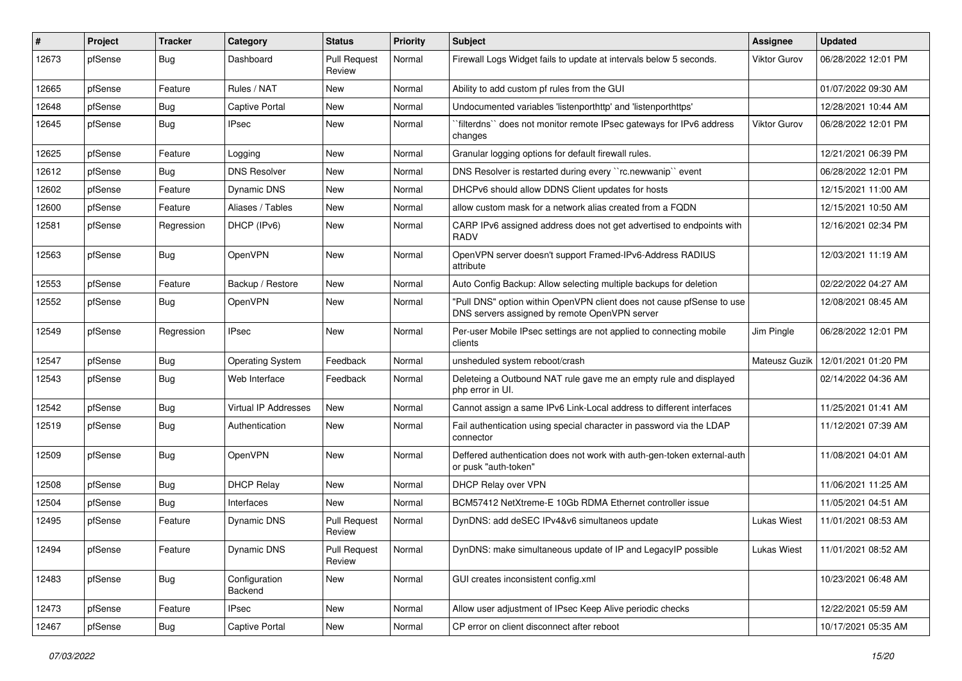| #     | Project | <b>Tracker</b> | Category                 | <b>Status</b>                 | Priority | <b>Subject</b>                                                                                                         | Assignee            | <b>Updated</b>      |
|-------|---------|----------------|--------------------------|-------------------------------|----------|------------------------------------------------------------------------------------------------------------------------|---------------------|---------------------|
| 12673 | pfSense | <b>Bug</b>     | Dashboard                | <b>Pull Request</b><br>Review | Normal   | Firewall Logs Widget fails to update at intervals below 5 seconds.                                                     | <b>Viktor Gurov</b> | 06/28/2022 12:01 PM |
| 12665 | pfSense | Feature        | Rules / NAT              | New                           | Normal   | Ability to add custom pf rules from the GUI                                                                            |                     | 01/07/2022 09:30 AM |
| 12648 | pfSense | <b>Bug</b>     | <b>Captive Portal</b>    | New                           | Normal   | Undocumented variables 'listenporthttp' and 'listenporthttps'                                                          |                     | 12/28/2021 10:44 AM |
| 12645 | pfSense | Bug            | <b>IPsec</b>             | New                           | Normal   | `filterdns`` does not monitor remote IPsec gateways for IPv6 address<br>changes                                        | Viktor Gurov        | 06/28/2022 12:01 PM |
| 12625 | pfSense | Feature        | Logging                  | New                           | Normal   | Granular logging options for default firewall rules.                                                                   |                     | 12/21/2021 06:39 PM |
| 12612 | pfSense | <b>Bug</b>     | <b>DNS Resolver</b>      | New                           | Normal   | DNS Resolver is restarted during every "rc.newwanip" event                                                             |                     | 06/28/2022 12:01 PM |
| 12602 | pfSense | Feature        | <b>Dynamic DNS</b>       | New                           | Normal   | DHCPv6 should allow DDNS Client updates for hosts                                                                      |                     | 12/15/2021 11:00 AM |
| 12600 | pfSense | Feature        | Aliases / Tables         | New                           | Normal   | allow custom mask for a network alias created from a FQDN                                                              |                     | 12/15/2021 10:50 AM |
| 12581 | pfSense | Regression     | DHCP (IPv6)              | New                           | Normal   | CARP IPv6 assigned address does not get advertised to endpoints with<br>RADV                                           |                     | 12/16/2021 02:34 PM |
| 12563 | pfSense | Bug            | OpenVPN                  | New                           | Normal   | OpenVPN server doesn't support Framed-IPv6-Address RADIUS<br>attribute                                                 |                     | 12/03/2021 11:19 AM |
| 12553 | pfSense | Feature        | Backup / Restore         | New                           | Normal   | Auto Config Backup: Allow selecting multiple backups for deletion                                                      |                     | 02/22/2022 04:27 AM |
| 12552 | pfSense | Bug            | OpenVPN                  | New                           | Normal   | "Pull DNS" option within OpenVPN client does not cause pfSense to use<br>DNS servers assigned by remote OpenVPN server |                     | 12/08/2021 08:45 AM |
| 12549 | pfSense | Regression     | <b>IPsec</b>             | New                           | Normal   | Per-user Mobile IPsec settings are not applied to connecting mobile<br>clients                                         | Jim Pingle          | 06/28/2022 12:01 PM |
| 12547 | pfSense | Bug            | <b>Operating System</b>  | Feedback                      | Normal   | unsheduled system reboot/crash                                                                                         | Mateusz Guzik       | 12/01/2021 01:20 PM |
| 12543 | pfSense | Bug            | Web Interface            | Feedback                      | Normal   | Deleteing a Outbound NAT rule gave me an empty rule and displayed<br>php error in UI.                                  |                     | 02/14/2022 04:36 AM |
| 12542 | pfSense | Bug            | Virtual IP Addresses     | New                           | Normal   | Cannot assign a same IPv6 Link-Local address to different interfaces                                                   |                     | 11/25/2021 01:41 AM |
| 12519 | pfSense | Bug            | Authentication           | New                           | Normal   | Fail authentication using special character in password via the LDAP<br>connector                                      |                     | 11/12/2021 07:39 AM |
| 12509 | pfSense | Bug            | OpenVPN                  | New                           | Normal   | Deffered authentication does not work with auth-gen-token external-auth<br>or pusk "auth-token"                        |                     | 11/08/2021 04:01 AM |
| 12508 | pfSense | Bug            | <b>DHCP Relay</b>        | New                           | Normal   | DHCP Relay over VPN                                                                                                    |                     | 11/06/2021 11:25 AM |
| 12504 | pfSense | <b>Bug</b>     | Interfaces               | New                           | Normal   | BCM57412 NetXtreme-E 10Gb RDMA Ethernet controller issue                                                               |                     | 11/05/2021 04:51 AM |
| 12495 | pfSense | Feature        | <b>Dynamic DNS</b>       | <b>Pull Request</b><br>Review | Normal   | DynDNS: add deSEC IPv4&v6 simultaneos update                                                                           | <b>Lukas Wiest</b>  | 11/01/2021 08:53 AM |
| 12494 | pfSense | Feature        | <b>Dynamic DNS</b>       | <b>Pull Request</b><br>Review | Normal   | DynDNS: make simultaneous update of IP and LegacyIP possible                                                           | <b>Lukas Wiest</b>  | 11/01/2021 08:52 AM |
| 12483 | pfSense | Bug            | Configuration<br>Backend | New                           | Normal   | GUI creates inconsistent config.xml                                                                                    |                     | 10/23/2021 06:48 AM |
| 12473 | pfSense | Feature        | <b>IPsec</b>             | New                           | Normal   | Allow user adjustment of IPsec Keep Alive periodic checks                                                              |                     | 12/22/2021 05:59 AM |
| 12467 | pfSense | <b>Bug</b>     | Captive Portal           | New                           | Normal   | CP error on client disconnect after reboot                                                                             |                     | 10/17/2021 05:35 AM |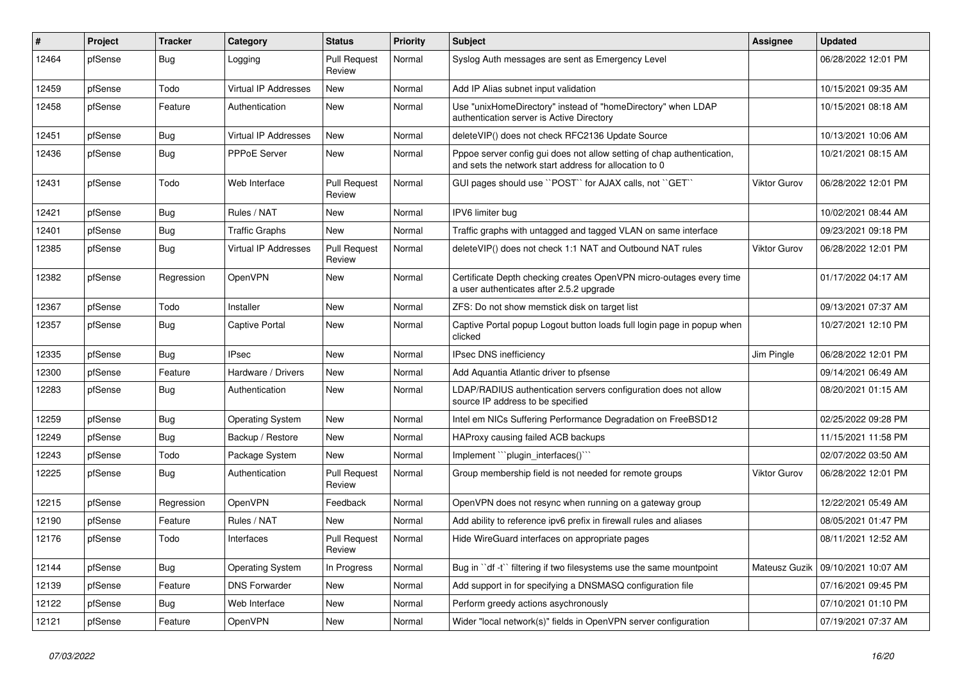| $\#$  | Project | <b>Tracker</b> | Category                    | <b>Status</b>                 | <b>Priority</b> | <b>Subject</b>                                                                                                                   | Assignee            | <b>Updated</b>      |
|-------|---------|----------------|-----------------------------|-------------------------------|-----------------|----------------------------------------------------------------------------------------------------------------------------------|---------------------|---------------------|
| 12464 | pfSense | <b>Bug</b>     | Logging                     | <b>Pull Request</b><br>Review | Normal          | Syslog Auth messages are sent as Emergency Level                                                                                 |                     | 06/28/2022 12:01 PM |
| 12459 | pfSense | Todo           | <b>Virtual IP Addresses</b> | New                           | Normal          | Add IP Alias subnet input validation                                                                                             |                     | 10/15/2021 09:35 AM |
| 12458 | pfSense | Feature        | Authentication              | New                           | Normal          | Use "unixHomeDirectory" instead of "homeDirectory" when LDAP<br>authentication server is Active Directory                        |                     | 10/15/2021 08:18 AM |
| 12451 | pfSense | <b>Bug</b>     | Virtual IP Addresses        | New                           | Normal          | deleteVIP() does not check RFC2136 Update Source                                                                                 |                     | 10/13/2021 10:06 AM |
| 12436 | pfSense | <b>Bug</b>     | <b>PPPoE Server</b>         | New                           | Normal          | Pppoe server config gui does not allow setting of chap authentication,<br>and sets the network start address for allocation to 0 |                     | 10/21/2021 08:15 AM |
| 12431 | pfSense | Todo           | Web Interface               | <b>Pull Request</b><br>Review | Normal          | GUI pages should use "POST" for AJAX calls, not "GET"                                                                            | Viktor Gurov        | 06/28/2022 12:01 PM |
| 12421 | pfSense | <b>Bug</b>     | Rules / NAT                 | New                           | Normal          | IPV6 limiter bug                                                                                                                 |                     | 10/02/2021 08:44 AM |
| 12401 | pfSense | <b>Bug</b>     | <b>Traffic Graphs</b>       | New                           | Normal          | Traffic graphs with untagged and tagged VLAN on same interface                                                                   |                     | 09/23/2021 09:18 PM |
| 12385 | pfSense | <b>Bug</b>     | Virtual IP Addresses        | <b>Pull Request</b><br>Review | Normal          | deleteVIP() does not check 1:1 NAT and Outbound NAT rules                                                                        | <b>Viktor Gurov</b> | 06/28/2022 12:01 PM |
| 12382 | pfSense | Regression     | OpenVPN                     | New                           | Normal          | Certificate Depth checking creates OpenVPN micro-outages every time<br>a user authenticates after 2.5.2 upgrade                  |                     | 01/17/2022 04:17 AM |
| 12367 | pfSense | Todo           | Installer                   | New                           | Normal          | ZFS: Do not show memstick disk on target list                                                                                    |                     | 09/13/2021 07:37 AM |
| 12357 | pfSense | <b>Bug</b>     | <b>Captive Portal</b>       | New                           | Normal          | Captive Portal popup Logout button loads full login page in popup when<br>clicked                                                |                     | 10/27/2021 12:10 PM |
| 12335 | pfSense | Bug            | <b>IPsec</b>                | New                           | Normal          | IPsec DNS inefficiency                                                                                                           | Jim Pingle          | 06/28/2022 12:01 PM |
| 12300 | pfSense | Feature        | Hardware / Drivers          | New                           | Normal          | Add Aquantia Atlantic driver to pfsense                                                                                          |                     | 09/14/2021 06:49 AM |
| 12283 | pfSense | <b>Bug</b>     | Authentication              | New                           | Normal          | LDAP/RADIUS authentication servers configuration does not allow<br>source IP address to be specified                             |                     | 08/20/2021 01:15 AM |
| 12259 | pfSense | <b>Bug</b>     | <b>Operating System</b>     | New                           | Normal          | Intel em NICs Suffering Performance Degradation on FreeBSD12                                                                     |                     | 02/25/2022 09:28 PM |
| 12249 | pfSense | <b>Bug</b>     | Backup / Restore            | New                           | Normal          | HAProxy causing failed ACB backups                                                                                               |                     | 11/15/2021 11:58 PM |
| 12243 | pfSense | Todo           | Package System              | New                           | Normal          | Implement "plugin_interfaces()"                                                                                                  |                     | 02/07/2022 03:50 AM |
| 12225 | pfSense | <b>Bug</b>     | Authentication              | <b>Pull Request</b><br>Review | Normal          | Group membership field is not needed for remote groups                                                                           | <b>Viktor Gurov</b> | 06/28/2022 12:01 PM |
| 12215 | pfSense | Regression     | OpenVPN                     | Feedback                      | Normal          | OpenVPN does not resync when running on a gateway group                                                                          |                     | 12/22/2021 05:49 AM |
| 12190 | pfSense | Feature        | Rules / NAT                 | New                           | Normal          | Add ability to reference ipv6 prefix in firewall rules and aliases                                                               |                     | 08/05/2021 01:47 PM |
| 12176 | pfSense | Todo           | Interfaces                  | <b>Pull Request</b><br>Review | Normal          | Hide WireGuard interfaces on appropriate pages                                                                                   |                     | 08/11/2021 12:52 AM |
| 12144 | pfSense | Bug            | <b>Operating System</b>     | In Progress                   | Normal          | Bug in "df -t" filtering if two filesystems use the same mountpoint                                                              | Mateusz Guzik       | 09/10/2021 10:07 AM |
| 12139 | pfSense | Feature        | <b>DNS Forwarder</b>        | New                           | Normal          | Add support in for specifying a DNSMASQ configuration file                                                                       |                     | 07/16/2021 09:45 PM |
| 12122 | pfSense | <b>Bug</b>     | Web Interface               | New                           | Normal          | Perform greedy actions asychronously                                                                                             |                     | 07/10/2021 01:10 PM |
| 12121 | pfSense | Feature        | OpenVPN                     | New                           | Normal          | Wider "local network(s)" fields in OpenVPN server configuration                                                                  |                     | 07/19/2021 07:37 AM |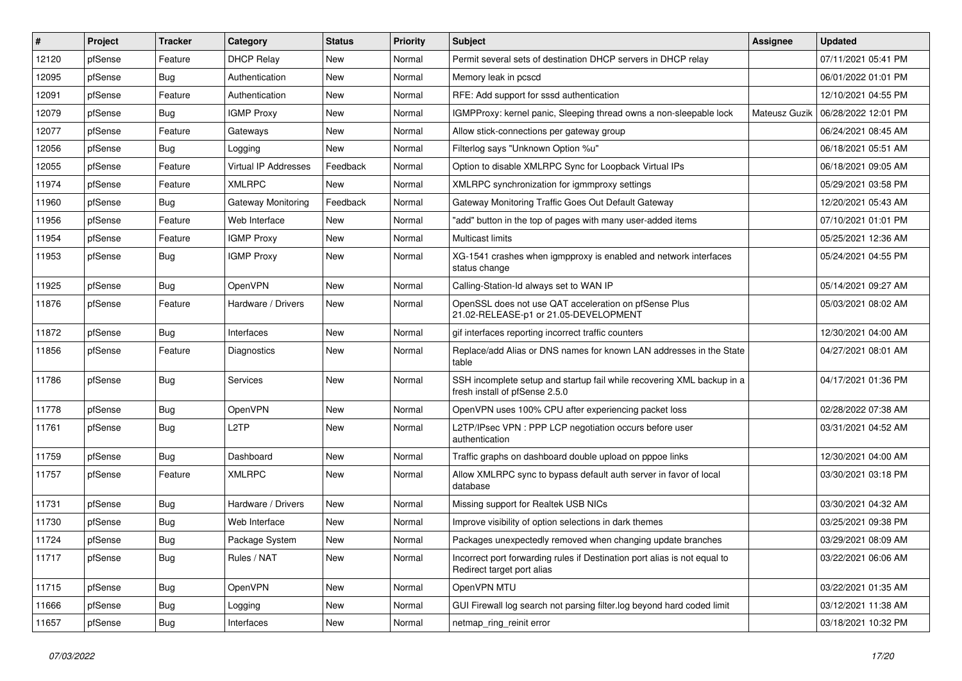| #     | Project | <b>Tracker</b> | Category             | <b>Status</b> | <b>Priority</b> | <b>Subject</b>                                                                                           | Assignee      | <b>Updated</b>      |
|-------|---------|----------------|----------------------|---------------|-----------------|----------------------------------------------------------------------------------------------------------|---------------|---------------------|
| 12120 | pfSense | Feature        | <b>DHCP Relay</b>    | New           | Normal          | Permit several sets of destination DHCP servers in DHCP relay                                            |               | 07/11/2021 05:41 PM |
| 12095 | pfSense | <b>Bug</b>     | Authentication       | New           | Normal          | Memory leak in pcscd                                                                                     |               | 06/01/2022 01:01 PM |
| 12091 | pfSense | Feature        | Authentication       | New           | Normal          | RFE: Add support for sssd authentication                                                                 |               | 12/10/2021 04:55 PM |
| 12079 | pfSense | <b>Bug</b>     | <b>IGMP Proxy</b>    | New           | Normal          | IGMPProxy: kernel panic, Sleeping thread owns a non-sleepable lock                                       | Mateusz Guzik | 06/28/2022 12:01 PM |
| 12077 | pfSense | Feature        | Gateways             | New           | Normal          | Allow stick-connections per gateway group                                                                |               | 06/24/2021 08:45 AM |
| 12056 | pfSense | <b>Bug</b>     | Logging              | New           | Normal          | Filterlog says "Unknown Option %u"                                                                       |               | 06/18/2021 05:51 AM |
| 12055 | pfSense | Feature        | Virtual IP Addresses | Feedback      | Normal          | Option to disable XMLRPC Sync for Loopback Virtual IPs                                                   |               | 06/18/2021 09:05 AM |
| 11974 | pfSense | Feature        | <b>XMLRPC</b>        | New           | Normal          | XMLRPC synchronization for igmmproxy settings                                                            |               | 05/29/2021 03:58 PM |
| 11960 | pfSense | <b>Bug</b>     | Gateway Monitoring   | Feedback      | Normal          | Gateway Monitoring Traffic Goes Out Default Gateway                                                      |               | 12/20/2021 05:43 AM |
| 11956 | pfSense | Feature        | Web Interface        | New           | Normal          | "add" button in the top of pages with many user-added items                                              |               | 07/10/2021 01:01 PM |
| 11954 | pfSense | Feature        | <b>IGMP Proxy</b>    | New           | Normal          | <b>Multicast limits</b>                                                                                  |               | 05/25/2021 12:36 AM |
| 11953 | pfSense | <b>Bug</b>     | <b>IGMP Proxy</b>    | New           | Normal          | XG-1541 crashes when igmpproxy is enabled and network interfaces<br>status change                        |               | 05/24/2021 04:55 PM |
| 11925 | pfSense | Bug            | <b>OpenVPN</b>       | New           | Normal          | Calling-Station-Id always set to WAN IP                                                                  |               | 05/14/2021 09:27 AM |
| 11876 | pfSense | Feature        | Hardware / Drivers   | New           | Normal          | OpenSSL does not use QAT acceleration on pfSense Plus<br>21.02-RELEASE-p1 or 21.05-DEVELOPMENT           |               | 05/03/2021 08:02 AM |
| 11872 | pfSense | Bug            | Interfaces           | New           | Normal          | gif interfaces reporting incorrect traffic counters                                                      |               | 12/30/2021 04:00 AM |
| 11856 | pfSense | Feature        | Diagnostics          | New           | Normal          | Replace/add Alias or DNS names for known LAN addresses in the State<br>table                             |               | 04/27/2021 08:01 AM |
| 11786 | pfSense | <b>Bug</b>     | <b>Services</b>      | New           | Normal          | SSH incomplete setup and startup fail while recovering XML backup in a<br>fresh install of pfSense 2.5.0 |               | 04/17/2021 01:36 PM |
| 11778 | pfSense | <b>Bug</b>     | OpenVPN              | New           | Normal          | OpenVPN uses 100% CPU after experiencing packet loss                                                     |               | 02/28/2022 07:38 AM |
| 11761 | pfSense | <b>Bug</b>     | L <sub>2</sub> TP    | New           | Normal          | L2TP/IPsec VPN : PPP LCP negotiation occurs before user<br>authentication                                |               | 03/31/2021 04:52 AM |
| 11759 | pfSense | Bug            | Dashboard            | New           | Normal          | Traffic graphs on dashboard double upload on pppoe links                                                 |               | 12/30/2021 04:00 AM |
| 11757 | pfSense | Feature        | <b>XMLRPC</b>        | New           | Normal          | Allow XMLRPC sync to bypass default auth server in favor of local<br>database                            |               | 03/30/2021 03:18 PM |
| 11731 | pfSense | <b>Bug</b>     | Hardware / Drivers   | New           | Normal          | Missing support for Realtek USB NICs                                                                     |               | 03/30/2021 04:32 AM |
| 11730 | pfSense | <b>Bug</b>     | Web Interface        | New           | Normal          | Improve visibility of option selections in dark themes                                                   |               | 03/25/2021 09:38 PM |
| 11724 | pfSense | Bug            | Package System       | New           | Normal          | Packages unexpectedly removed when changing update branches                                              |               | 03/29/2021 08:09 AM |
| 11717 | pfSense | Bug            | Rules / NAT          | New           | Normal          | Incorrect port forwarding rules if Destination port alias is not equal to<br>Redirect target port alias  |               | 03/22/2021 06:06 AM |
| 11715 | pfSense | Bug            | OpenVPN              | New           | Normal          | OpenVPN MTU                                                                                              |               | 03/22/2021 01:35 AM |
| 11666 | pfSense | <b>Bug</b>     | Logging              | New           | Normal          | GUI Firewall log search not parsing filter.log beyond hard coded limit                                   |               | 03/12/2021 11:38 AM |
| 11657 | pfSense | <b>Bug</b>     | Interfaces           | New           | Normal          | netmap ring reinit error                                                                                 |               | 03/18/2021 10:32 PM |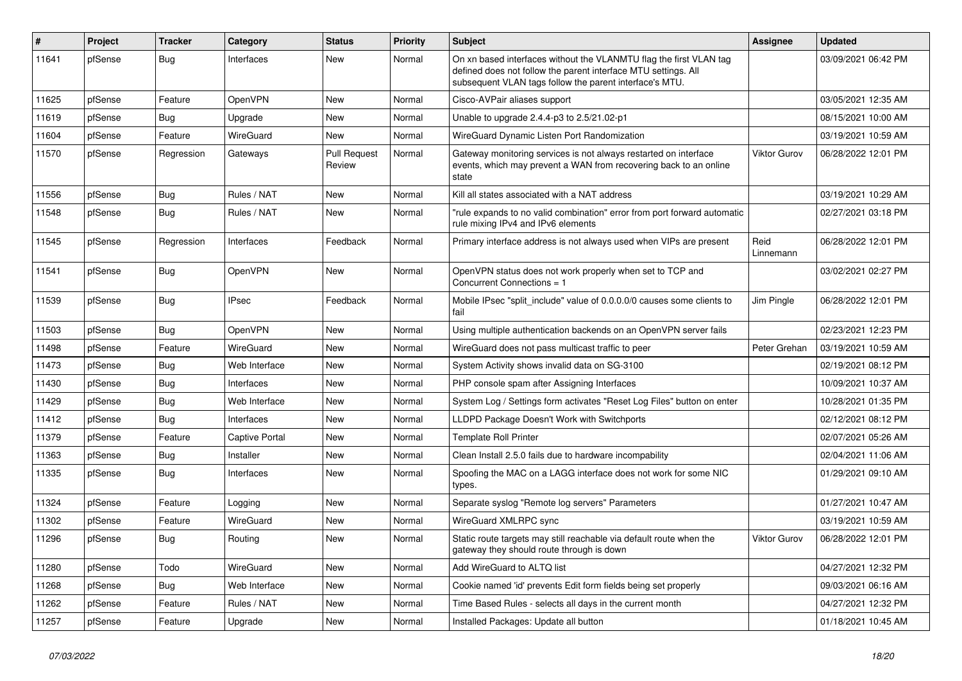| #     | Project | <b>Tracker</b> | Category              | <b>Status</b>                 | Priority | Subject                                                                                                                                                                                         | Assignee            | <b>Updated</b>      |
|-------|---------|----------------|-----------------------|-------------------------------|----------|-------------------------------------------------------------------------------------------------------------------------------------------------------------------------------------------------|---------------------|---------------------|
| 11641 | pfSense | <b>Bug</b>     | Interfaces            | New                           | Normal   | On xn based interfaces without the VLANMTU flag the first VLAN tag<br>defined does not follow the parent interface MTU settings. All<br>subsequent VLAN tags follow the parent interface's MTU. |                     | 03/09/2021 06:42 PM |
| 11625 | pfSense | Feature        | OpenVPN               | New                           | Normal   | Cisco-AVPair aliases support                                                                                                                                                                    |                     | 03/05/2021 12:35 AM |
| 11619 | pfSense | <b>Bug</b>     | Upgrade               | New                           | Normal   | Unable to upgrade 2.4.4-p3 to 2.5/21.02-p1                                                                                                                                                      |                     | 08/15/2021 10:00 AM |
| 11604 | pfSense | Feature        | <b>WireGuard</b>      | New                           | Normal   | WireGuard Dynamic Listen Port Randomization                                                                                                                                                     |                     | 03/19/2021 10:59 AM |
| 11570 | pfSense | Regression     | Gateways              | <b>Pull Request</b><br>Review | Normal   | Gateway monitoring services is not always restarted on interface<br>events, which may prevent a WAN from recovering back to an online<br>state                                                  | <b>Viktor Gurov</b> | 06/28/2022 12:01 PM |
| 11556 | pfSense | <b>Bug</b>     | Rules / NAT           | New                           | Normal   | Kill all states associated with a NAT address                                                                                                                                                   |                     | 03/19/2021 10:29 AM |
| 11548 | pfSense | Bug            | Rules / NAT           | New                           | Normal   | "rule expands to no valid combination" error from port forward automatic<br>rule mixing IPv4 and IPv6 elements                                                                                  |                     | 02/27/2021 03:18 PM |
| 11545 | pfSense | Regression     | Interfaces            | Feedback                      | Normal   | Primary interface address is not always used when VIPs are present                                                                                                                              | Reid<br>Linnemann   | 06/28/2022 12:01 PM |
| 11541 | pfSense | Bug            | OpenVPN               | New                           | Normal   | OpenVPN status does not work properly when set to TCP and<br>Concurrent Connections = 1                                                                                                         |                     | 03/02/2021 02:27 PM |
| 11539 | pfSense | Bug            | <b>IPsec</b>          | Feedback                      | Normal   | Mobile IPsec "split include" value of 0.0.0.0/0 causes some clients to<br>fail                                                                                                                  | Jim Pingle          | 06/28/2022 12:01 PM |
| 11503 | pfSense | Bug            | OpenVPN               | <b>New</b>                    | Normal   | Using multiple authentication backends on an OpenVPN server fails                                                                                                                               |                     | 02/23/2021 12:23 PM |
| 11498 | pfSense | Feature        | WireGuard             | New                           | Normal   | WireGuard does not pass multicast traffic to peer                                                                                                                                               | Peter Grehan        | 03/19/2021 10:59 AM |
| 11473 | pfSense | <b>Bug</b>     | Web Interface         | New                           | Normal   | System Activity shows invalid data on SG-3100                                                                                                                                                   |                     | 02/19/2021 08:12 PM |
| 11430 | pfSense | Bug            | Interfaces            | New                           | Normal   | PHP console spam after Assigning Interfaces                                                                                                                                                     |                     | 10/09/2021 10:37 AM |
| 11429 | pfSense | <b>Bug</b>     | Web Interface         | New                           | Normal   | System Log / Settings form activates "Reset Log Files" button on enter                                                                                                                          |                     | 10/28/2021 01:35 PM |
| 11412 | pfSense | <b>Bug</b>     | Interfaces            | New                           | Normal   | LLDPD Package Doesn't Work with Switchports                                                                                                                                                     |                     | 02/12/2021 08:12 PM |
| 11379 | pfSense | Feature        | <b>Captive Portal</b> | New                           | Normal   | <b>Template Roll Printer</b>                                                                                                                                                                    |                     | 02/07/2021 05:26 AM |
| 11363 | pfSense | <b>Bug</b>     | Installer             | New                           | Normal   | Clean Install 2.5.0 fails due to hardware incompability                                                                                                                                         |                     | 02/04/2021 11:06 AM |
| 11335 | pfSense | Bug            | Interfaces            | New                           | Normal   | Spoofing the MAC on a LAGG interface does not work for some NIC<br>types.                                                                                                                       |                     | 01/29/2021 09:10 AM |
| 11324 | pfSense | Feature        | Logging               | New                           | Normal   | Separate syslog "Remote log servers" Parameters                                                                                                                                                 |                     | 01/27/2021 10:47 AM |
| 11302 | pfSense | Feature        | WireGuard             | New                           | Normal   | WireGuard XMLRPC sync                                                                                                                                                                           |                     | 03/19/2021 10:59 AM |
| 11296 | pfSense | Bug            | Routing               | New                           | Normal   | Static route targets may still reachable via default route when the<br>gateway they should route through is down                                                                                | <b>Viktor Gurov</b> | 06/28/2022 12:01 PM |
| 11280 | pfSense | Todo           | WireGuard             | New                           | Normal   | Add WireGuard to ALTQ list                                                                                                                                                                      |                     | 04/27/2021 12:32 PM |
| 11268 | pfSense | Bug            | Web Interface         | New                           | Normal   | Cookie named 'id' prevents Edit form fields being set properly                                                                                                                                  |                     | 09/03/2021 06:16 AM |
| 11262 | pfSense | Feature        | Rules / NAT           | New                           | Normal   | Time Based Rules - selects all days in the current month                                                                                                                                        |                     | 04/27/2021 12:32 PM |
| 11257 | pfSense | Feature        | Upgrade               | New                           | Normal   | Installed Packages: Update all button                                                                                                                                                           |                     | 01/18/2021 10:45 AM |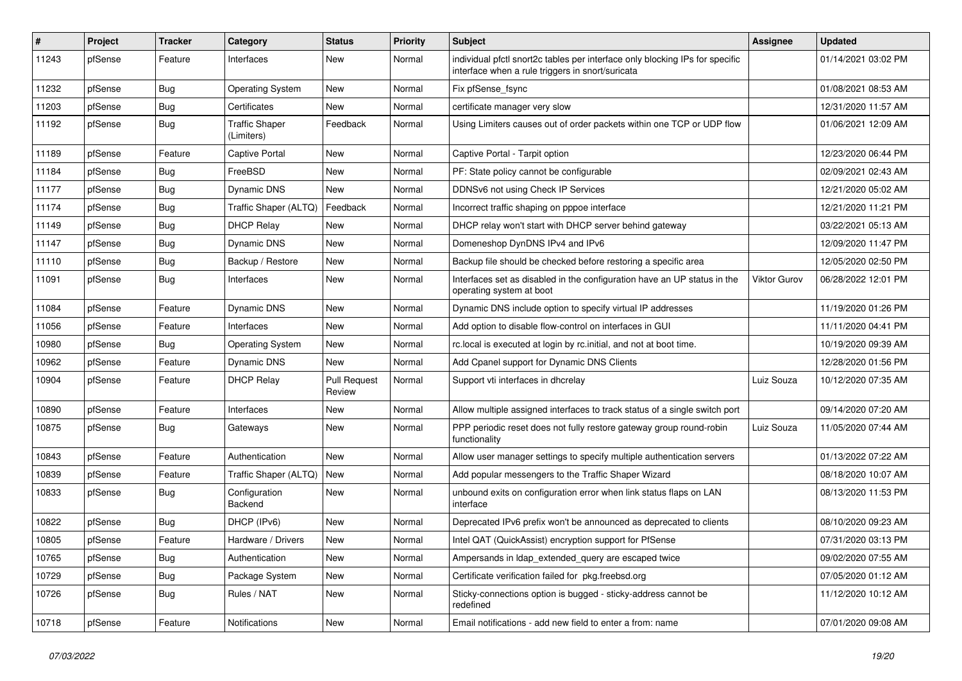| ∦     | Project | <b>Tracker</b> | Category                            | <b>Status</b>                 | <b>Priority</b> | Subject                                                                                                                          | <b>Assignee</b>     | <b>Updated</b>      |
|-------|---------|----------------|-------------------------------------|-------------------------------|-----------------|----------------------------------------------------------------------------------------------------------------------------------|---------------------|---------------------|
| 11243 | pfSense | Feature        | Interfaces                          | New                           | Normal          | individual pfctl snort2c tables per interface only blocking IPs for specific<br>interface when a rule triggers in snort/suricata |                     | 01/14/2021 03:02 PM |
| 11232 | pfSense | <b>Bug</b>     | <b>Operating System</b>             | New                           | Normal          | Fix pfSense_fsync                                                                                                                |                     | 01/08/2021 08:53 AM |
| 11203 | pfSense | <b>Bug</b>     | Certificates                        | New                           | Normal          | certificate manager very slow                                                                                                    |                     | 12/31/2020 11:57 AM |
| 11192 | pfSense | Bug            | <b>Traffic Shaper</b><br>(Limiters) | Feedback                      | Normal          | Using Limiters causes out of order packets within one TCP or UDP flow                                                            |                     | 01/06/2021 12:09 AM |
| 11189 | pfSense | Feature        | Captive Portal                      | <b>New</b>                    | Normal          | Captive Portal - Tarpit option                                                                                                   |                     | 12/23/2020 06:44 PM |
| 11184 | pfSense | Bug            | FreeBSD                             | New                           | Normal          | PF: State policy cannot be configurable                                                                                          |                     | 02/09/2021 02:43 AM |
| 11177 | pfSense | <b>Bug</b>     | Dynamic DNS                         | New                           | Normal          | DDNSv6 not using Check IP Services                                                                                               |                     | 12/21/2020 05:02 AM |
| 11174 | pfSense | <b>Bug</b>     | Traffic Shaper (ALTQ)               | Feedback                      | Normal          | Incorrect traffic shaping on pppoe interface                                                                                     |                     | 12/21/2020 11:21 PM |
| 11149 | pfSense | Bug            | <b>DHCP Relay</b>                   | New                           | Normal          | DHCP relay won't start with DHCP server behind gateway                                                                           |                     | 03/22/2021 05:13 AM |
| 11147 | pfSense | Bug            | <b>Dynamic DNS</b>                  | New                           | Normal          | Domeneshop DynDNS IPv4 and IPv6                                                                                                  |                     | 12/09/2020 11:47 PM |
| 11110 | pfSense | <b>Bug</b>     | Backup / Restore                    | <b>New</b>                    | Normal          | Backup file should be checked before restoring a specific area                                                                   |                     | 12/05/2020 02:50 PM |
| 11091 | pfSense | Bug            | Interfaces                          | New                           | Normal          | Interfaces set as disabled in the configuration have an UP status in the<br>operating system at boot                             | <b>Viktor Gurov</b> | 06/28/2022 12:01 PM |
| 11084 | pfSense | Feature        | <b>Dynamic DNS</b>                  | New                           | Normal          | Dynamic DNS include option to specify virtual IP addresses                                                                       |                     | 11/19/2020 01:26 PM |
| 11056 | pfSense | Feature        | Interfaces                          | New                           | Normal          | Add option to disable flow-control on interfaces in GUI                                                                          |                     | 11/11/2020 04:41 PM |
| 10980 | pfSense | <b>Bug</b>     | <b>Operating System</b>             | New                           | Normal          | rc.local is executed at login by rc.initial, and not at boot time.                                                               |                     | 10/19/2020 09:39 AM |
| 10962 | pfSense | Feature        | <b>Dynamic DNS</b>                  | New                           | Normal          | Add Cpanel support for Dynamic DNS Clients                                                                                       |                     | 12/28/2020 01:56 PM |
| 10904 | pfSense | Feature        | <b>DHCP Relay</b>                   | <b>Pull Request</b><br>Review | Normal          | Support vti interfaces in dhcrelay                                                                                               | Luiz Souza          | 10/12/2020 07:35 AM |
| 10890 | pfSense | Feature        | Interfaces                          | New                           | Normal          | Allow multiple assigned interfaces to track status of a single switch port                                                       |                     | 09/14/2020 07:20 AM |
| 10875 | pfSense | Bug            | Gateways                            | New                           | Normal          | PPP periodic reset does not fully restore gateway group round-robin<br>functionality                                             | Luiz Souza          | 11/05/2020 07:44 AM |
| 10843 | pfSense | Feature        | Authentication                      | <b>New</b>                    | Normal          | Allow user manager settings to specify multiple authentication servers                                                           |                     | 01/13/2022 07:22 AM |
| 10839 | pfSense | Feature        | Traffic Shaper (ALTQ)               | New                           | Normal          | Add popular messengers to the Traffic Shaper Wizard                                                                              |                     | 08/18/2020 10:07 AM |
| 10833 | pfSense | Bug            | Configuration<br>Backend            | New                           | Normal          | unbound exits on configuration error when link status flaps on LAN<br>interface                                                  |                     | 08/13/2020 11:53 PM |
| 10822 | pfSense | <b>Bug</b>     | DHCP (IPv6)                         | New                           | Normal          | Deprecated IPv6 prefix won't be announced as deprecated to clients                                                               |                     | 08/10/2020 09:23 AM |
| 10805 | pfSense | Feature        | Hardware / Drivers                  | New                           | Normal          | Intel QAT (QuickAssist) encryption support for PfSense                                                                           |                     | 07/31/2020 03:13 PM |
| 10765 | pfSense | <b>Bug</b>     | Authentication                      | New                           | Normal          | Ampersands in Idap_extended_query are escaped twice                                                                              |                     | 09/02/2020 07:55 AM |
| 10729 | pfSense | <b>Bug</b>     | Package System                      | New                           | Normal          | Certificate verification failed for pkg.freebsd.org                                                                              |                     | 07/05/2020 01:12 AM |
| 10726 | pfSense | <b>Bug</b>     | Rules / NAT                         | New                           | Normal          | Sticky-connections option is bugged - sticky-address cannot be<br>redefined                                                      |                     | 11/12/2020 10:12 AM |
| 10718 | pfSense | Feature        | Notifications                       | New                           | Normal          | Email notifications - add new field to enter a from: name                                                                        |                     | 07/01/2020 09:08 AM |